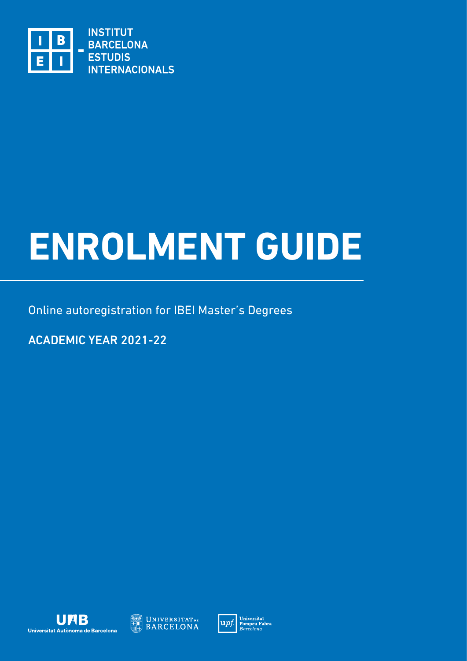

# **ENROLMENT GUIDE**

Online autoregistration for IBEI Master's Degrees

ACADEMIC YEAR 2021-22





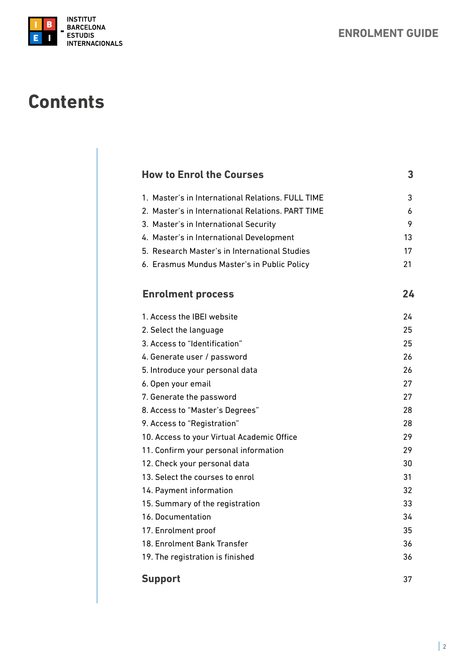

# **Contents**

| <b>How to Enrol the Courses</b>                   | 3  |
|---------------------------------------------------|----|
| 1. Master's in International Relations, FULL TIME | 3  |
| 2. Master's in International Relations, PART TIME | 6  |
| 3. Master's in International Security             | 9  |
| 4. Master's in International Development          | 13 |
| 5. Research Master's in International Studies     | 17 |
| 6. Erasmus Mundus Master's in Public Policy       | 21 |
| <b>Enrolment process</b>                          | 24 |
| 1. Access the IBEI website                        | 24 |
| 2. Select the language                            | 25 |
| 3. Access to "Identification"                     | 25 |
| 4. Generate user / password                       | 26 |
| 5. Introduce your personal data                   | 26 |
| 6. Open your email                                | 27 |
| 7. Generate the password                          | 27 |
| 8. Access to "Master's Degrees"                   | 28 |
| 9. Access to "Registration"                       | 28 |
| 10. Access to your Virtual Academic Office        | 29 |
| 11. Confirm your personal information             | 29 |
| 12. Check your personal data                      | 30 |
| 13. Select the courses to enrol                   | 31 |
| 14. Payment information                           | 32 |
| 15. Summary of the registration                   | 33 |
| 16. Documentation                                 | 34 |
| 17. Enrolment proof                               | 35 |
| 18. Enrolment Bank Transfer                       | 36 |
| 19. The registration is finished                  | 36 |
| <b>Support</b>                                    | 37 |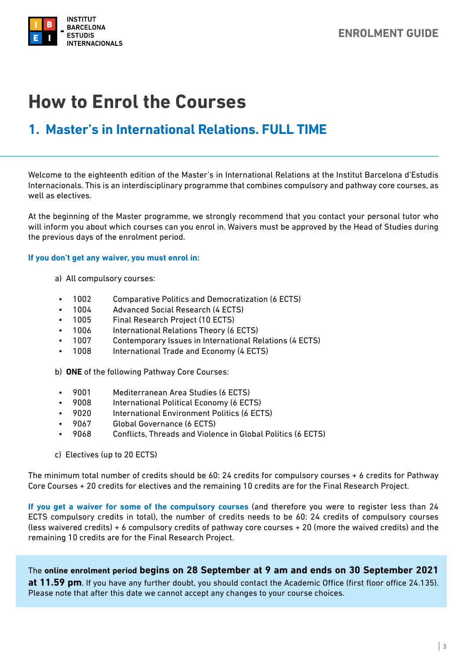<span id="page-2-0"></span>

## **How to Enrol the Courses**

## **1. Master's in International Relations. FULL TIME**

Welcome to the eighteenth edition of the Master's in International Relations at the Institut Barcelona d'Estudis Internacionals. This is an interdisciplinary programme that combines compulsory and pathway core courses, as well as electives.

At the beginning of the Master programme, we strongly recommend that you contact your personal tutor who will inform you about which courses can you enrol in. Waivers must be approved by the Head of Studies during the previous days of the enrolment period.

#### **If you don't get any waiver, you must enrol in:**

- a) All compulsory courses:
- 1002 Comparative Politics and Democratization (6 ECTS)
- 1004 Advanced Social Research (4 ECTS)
- 1005 Final Research Project (10 ECTS)
- 1006 International Relations Theory (6 ECTS)
- 1007 Contemporary Issues in International Relations (4 ECTS)
- 1008 International Trade and Economy (4 ECTS)
- b) **ONE** of the following Pathway Core Courses:
- 9001 Mediterranean Area Studies (6 ECTS)
- 9008 International Political Economy (6 ECTS)
- 9020 International Environment Politics (6 ECTS)
- 9067 Global Governance (6 ECTS)
- 9068 Conflicts, Threads and Violence in Global Politics (6 ECTS)
- c) Electives (up to 20 ECTS)

The minimum total number of credits should be 60: 24 credits for compulsory courses + 6 credits for Pathway Core Courses + 20 credits for electives and the remaining 10 credits are for the Final Research Project.

**If you get a waiver for some of the compulsory courses** (and therefore you were to register less than 24 ECTS compulsory credits in total), the number of credits needs to be 60: 24 credits of compulsory courses (less waivered credits) + 6 compulsory credits of pathway core courses + 20 (more the waived credits) and the remaining 10 credits are for the Final Research Project.

The **online enrolment period begins on 28 September at 9 am and ends on 30 September 2021 at 11.59 pm**. If you have any further doubt, you should contact the Academic Office (first floor office 24.135). Please note that after this date we cannot accept any changes to your course choices.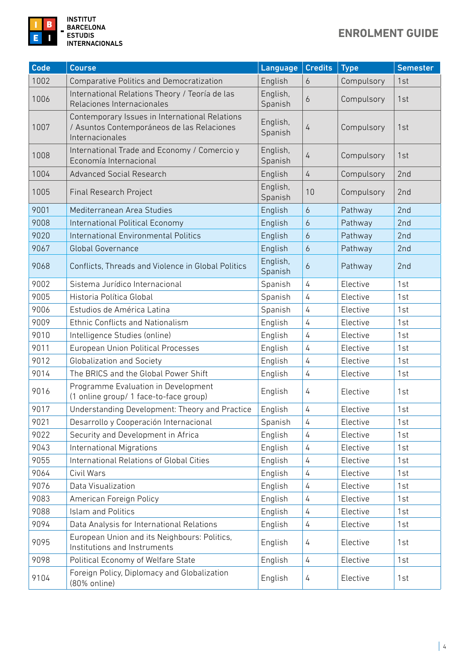

| Code | <b>Course</b>                                                                                                   | Language            | <b>Credits</b> | <b>Type</b> | <b>Semester</b> |
|------|-----------------------------------------------------------------------------------------------------------------|---------------------|----------------|-------------|-----------------|
| 1002 | <b>Comparative Politics and Democratization</b>                                                                 | English             | 6              | Compulsory  | 1st             |
| 1006 | International Relations Theory / Teoría de las<br>Relaciones Internacionales                                    | English,<br>Spanish | 6              | Compulsory  | 1st             |
| 1007 | Contemporary Issues in International Relations<br>/ Asuntos Contemporáneos de las Relaciones<br>Internacionales | English,<br>Spanish | $\overline{4}$ | Compulsory  | 1st             |
| 1008 | International Trade and Economy / Comercio y<br>Economía Internacional                                          | English,<br>Spanish | $\overline{4}$ | Compulsory  | 1st             |
| 1004 | <b>Advanced Social Research</b>                                                                                 | English             | $\overline{4}$ | Compulsory  | 2nd             |
| 1005 | <b>Final Research Project</b>                                                                                   | English,<br>Spanish | 10             | Compulsory  | 2nd             |
| 9001 | Mediterranean Area Studies                                                                                      | English             | $\overline{6}$ | Pathway     | 2nd             |
| 9008 | International Political Economy                                                                                 | English             | 6              | Pathway     | 2nd             |
| 9020 | <b>International Environmental Politics</b>                                                                     | English             | 6              | Pathway     | 2nd             |
| 9067 | <b>Global Governance</b>                                                                                        | English             | $\epsilon$     | Pathway     | 2nd             |
| 9068 | Conflicts, Threads and Violence in Global Politics                                                              | English,<br>Spanish | 6              | Pathway     | 2nd             |
| 9002 | Sistema Jurídico Internacional                                                                                  | Spanish             | 4              | Elective    | 1st             |
| 9005 | Historia Política Global                                                                                        |                     | $\overline{4}$ | Elective    | 1st             |
| 9006 | Estudios de América Latina                                                                                      |                     | 4              | Elective    | 1st             |
| 9009 | <b>Ethnic Conflicts and Nationalism</b>                                                                         | English             | 4              | Elective    | 1st             |
| 9010 | Intelligence Studies (online)                                                                                   | English             | 4              | Elective    | 1st             |
| 9011 | European Union Political Processes                                                                              | English             | 4              | Elective    | 1st             |
| 9012 | <b>Globalization and Society</b>                                                                                | English             | 4              | Elective    | 1st             |
| 9014 | The BRICS and the Global Power Shift                                                                            | English             | 4              | Elective    | 1st             |
| 9016 | Programme Evaluation in Development<br>(1 online group/ 1 face-to-face group)                                   | English             | 4              | Elective    | 1st             |
| 9017 | Understanding Development: Theory and Practice                                                                  | English             | 4              | Elective    | 1st             |
| 9021 | Desarrollo y Cooperación Internacional                                                                          | Spanish             | 4              | Elective    | 1st             |
| 9022 | Security and Development in Africa                                                                              | English             | 4              | Elective    | 1st             |
| 9043 | <b>International Migrations</b>                                                                                 | English             | 4              | Elective    | 1st             |
| 9055 | International Relations of Global Cities                                                                        | English             | 4              | Elective    | 1st             |
| 9064 | Civil Wars                                                                                                      | English             | 4              | Elective    | 1st             |
| 9076 | Data Visualization                                                                                              | English             | 4              | Elective    | 1st             |
| 9083 | American Foreign Policy                                                                                         | English             | 4              | Elective    | 1st             |
| 9088 | <b>Islam and Politics</b>                                                                                       | English             | 4              | Elective    | 1st             |
| 9094 | Data Analysis for International Relations                                                                       | English             | 4              | Elective    | 1st             |
| 9095 | European Union and its Neighbours: Politics,<br>Institutions and Instruments                                    | English             | 4              | Elective    | 1st             |
| 9098 | Political Economy of Welfare State                                                                              | English             | 4              | Elective    | 1st             |
| 9104 | Foreign Policy, Diplomacy and Globalization<br>(80% online)                                                     | English             | 4              | Elective    | 1st             |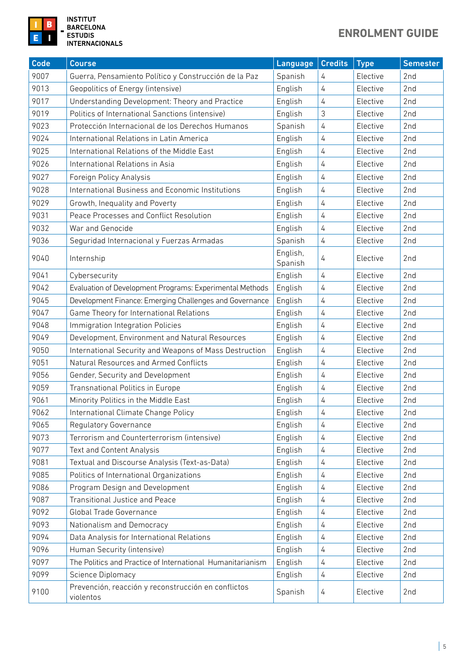

|| INSTITUT<br>| BARCELONA<br>| ESTUDIS<br>| INTERNACIONALS

## **ENROLMENT GUIDE**

| Code | <b>Course</b>                                                    | Language | <b>Credits</b> | <b>Type</b> | <b>Semester</b> |
|------|------------------------------------------------------------------|----------|----------------|-------------|-----------------|
| 9007 | Guerra, Pensamiento Político y Construcción de la Paz            | Spanish  | 4              | Elective    | 2nd             |
| 9013 | Geopolitics of Energy (intensive)                                | English  | 4              | Elective    | 2nd             |
| 9017 | Understanding Development: Theory and Practice                   | English  | 4              | Elective    | 2nd             |
| 9019 | Politics of International Sanctions (intensive)                  | English  | 3              | Elective    | 2nd             |
| 9023 | Protección Internacional de los Derechos Humanos                 | Spanish  | 4              | Elective    | 2nd             |
| 9024 | International Relations in Latin America                         | English  | 4              | Elective    | 2nd             |
| 9025 | International Relations of the Middle East                       | English  | 4              | Elective    | 2nd             |
| 9026 | International Relations in Asia                                  | English  | 4              | Elective    | 2nd             |
| 9027 | Foreign Policy Analysis                                          | English  | 4              | Elective    | 2nd             |
| 9028 | International Business and Economic Institutions                 | English  | 4              | Elective    | 2nd             |
| 9029 | Growth, Inequality and Poverty                                   | English  | 4              | Elective    | 2nd             |
| 9031 | Peace Processes and Conflict Resolution                          | English  | 4              | Elective    | 2nd             |
| 9032 | War and Genocide                                                 | English  | 4              | Elective    | 2nd             |
| 9036 | Seguridad Internacional y Fuerzas Armadas                        | Spanish  | 4              | Elective    | 2nd             |
| 9040 | English,<br>Internship<br>Spanish                                |          | 4              | Elective    | 2nd             |
| 9041 | Cybersecurity                                                    | English  | 4              | Elective    | 2nd             |
| 9042 | Evaluation of Development Programs: Experimental Methods         | English  | 4              | Elective    | 2nd             |
| 9045 | Development Finance: Emerging Challenges and Governance          | English  | 4              | Elective    | 2nd             |
| 9047 | Game Theory for International Relations                          | English  | 4              | Elective    | 2nd             |
| 9048 | Immigration Integration Policies                                 | English  | 4              | Elective    | 2nd             |
| 9049 | Development, Environment and Natural Resources                   | English  | $\overline{4}$ | Elective    | 2nd             |
| 9050 | International Security and Weapons of Mass Destruction           | English  | 4              | Elective    | 2nd             |
| 9051 | Natural Resources and Armed Conflicts                            | English  | 4              | Elective    | 2nd             |
| 9056 | Gender, Security and Development                                 | English  | 4              | Elective    | 2nd             |
| 9059 | Transnational Politics in Europe                                 | English  | 4              | Elective    | 2nd             |
| 9061 | Minority Politics in the Middle East                             | English  | 4              | Elective    | 2nd             |
| 9062 | International Climate Change Policy                              | English  | 4              | Elective    | 2nd             |
| 9065 | Regulatory Governance                                            | English  | 4              | Elective    | 2nd             |
| 9073 | Terrorism and Counterterrorism (intensive)                       | English  | 4              | Elective    | 2nd             |
| 9077 | Text and Content Analysis                                        | English  | 4              | Elective    | 2nd             |
| 9081 | Textual and Discourse Analysis (Text-as-Data)                    | English  | 4              | Elective    | 2nd             |
| 9085 | Politics of International Organizations                          | English  | 4              | Elective    | 2nd             |
| 9086 | Program Design and Development                                   | English  | 4              | Elective    | 2nd             |
| 9087 | Transitional Justice and Peace                                   | English  | 4              | Elective    | 2nd             |
| 9092 | Global Trade Governance                                          | English  | 4              | Elective    | 2nd             |
| 9093 | Nationalism and Democracy                                        | English  | 4              | Elective    | 2nd             |
| 9094 | Data Analysis for International Relations                        | English  | 4              | Elective    | 2nd             |
| 9096 | Human Security (intensive)                                       | English  | 4              | Elective    | 2nd             |
| 9097 | The Politics and Practice of International Humanitarianism       | English  | 4              | Elective    | 2nd             |
| 9099 | Science Diplomacy                                                | English  | 4              | Elective    | 2nd             |
| 9100 | Prevención, reacción y reconstrucción en conflictos<br>violentos | Spanish  | 4              | Elective    | 2nd             |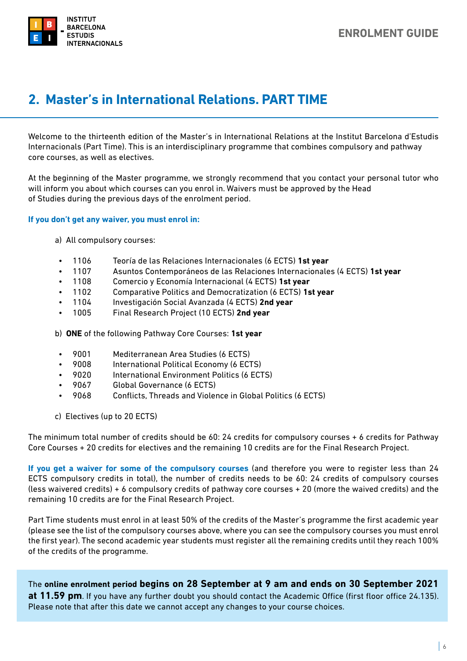<span id="page-5-0"></span>

## **2. Master's in International Relations. PART TIME**

Welcome to the thirteenth edition of the Master's in International Relations at the Institut Barcelona d'Estudis Internacionals (Part Time). This is an interdisciplinary programme that combines compulsory and pathway core courses, as well as electives.

At the beginning of the Master programme, we strongly recommend that you contact your personal tutor who will inform you about which courses can you enrol in. Waivers must be approved by the Head of Studies during the previous days of the enrolment period.

#### **If you don't get any waiver, you must enrol in:**

- a) All compulsory courses:
- 1106 Teoría de las Relaciones Internacionales (6 ECTS) **1st year**
- 1107 Asuntos Contemporáneos de las Relaciones Internacionales (4 ECTS) **1st year**
- 1108 Comercio y Economía Internacional (4 ECTS) **1st year**
- 1102 Comparative Politics and Democratization (6 ECTS) **1st year**
- 1104 Investigación Social Avanzada (4 ECTS) **2nd year**
- 1005 Final Research Project (10 ECTS) **2nd year**

b) **ONE** of the following Pathway Core Courses: **1st year**

- 9001 Mediterranean Area Studies (6 ECTS)
- 9008 International Political Economy (6 ECTS)
- 9020 International Environment Politics (6 ECTS)
- 9067 Global Governance (6 ECTS)
- 9068 Conflicts, Threads and Violence in Global Politics (6 ECTS)
- c) Electives (up to 20 ECTS)

The minimum total number of credits should be 60: 24 credits for compulsory courses + 6 credits for Pathway Core Courses + 20 credits for electives and the remaining 10 credits are for the Final Research Project.

**If you get a waiver for some of the compulsory courses** (and therefore you were to register less than 24 ECTS compulsory credits in total), the number of credits needs to be 60: 24 credits of compulsory courses (less waivered credits) + 6 compulsory credits of pathway core courses + 20 (more the waived credits) and the remaining 10 credits are for the Final Research Project.

Part Time students must enrol in at least 50% of the credits of the Master's programme the first academic year (please see the list of the compulsory courses above, where you can see the compulsory courses you must enrol the first year). The second academic year students must register all the remaining credits until they reach 100% of the credits of the programme.

The **online enrolment period begins on 28 September at 9 am and ends on 30 September 2021 at 11.59 pm**. If you have any further doubt you should contact the Academic Office (first floor office 24.135). Please note that after this date we cannot accept any changes to your course choices.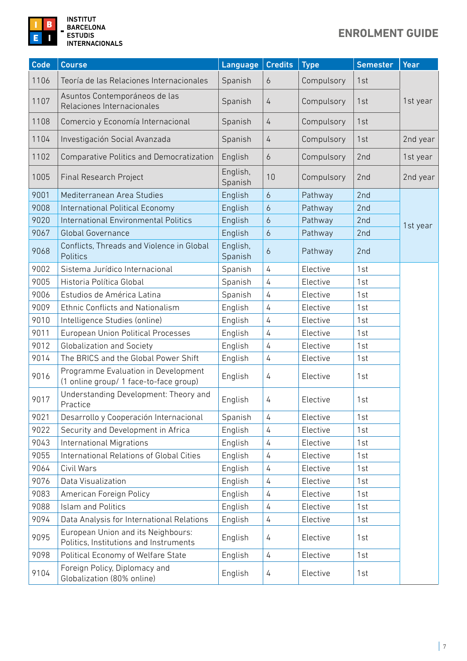

**INSTITUT<br>BARCELONA ESTUDIS INTERNACIONALS** 

## **ENROLMENT GUIDE**

| Code | <b>Course</b>                                                                 | Language            | <b>Credits</b>   | <b>Type</b> | <b>Semester</b> | Year     |
|------|-------------------------------------------------------------------------------|---------------------|------------------|-------------|-----------------|----------|
| 1106 | Teoría de las Relaciones Internacionales                                      | Spanish             | $\overline{6}$   | Compulsory  | 1st             |          |
| 1107 | Asuntos Contemporáneos de las<br>Relaciones Internacionales                   | Spanish             | 4                | Compulsory  | 1st             | 1st year |
| 1108 | Comercio y Economía Internacional                                             | Spanish             | $\overline{4}$   | Compulsory  | 1st             |          |
| 1104 | Investigación Social Avanzada                                                 | Spanish             | 4                | Compulsory  | 1st             | 2nd year |
| 1102 | <b>Comparative Politics and Democratization</b>                               | English             | $\overline{6}$   | Compulsory  | 2nd             | 1st year |
| 1005 | Final Research Project                                                        | English,<br>Spanish | 10               | Compulsory  | 2nd             | 2nd year |
| 9001 | Mediterranean Area Studies                                                    | English             | $\boldsymbol{6}$ | Pathway     | 2nd             |          |
| 9008 | International Political Economy                                               | English             | $\boldsymbol{6}$ | Pathway     | 2nd             |          |
| 9020 | <b>International Environmental Politics</b>                                   | English             | $\boldsymbol{6}$ | Pathway     | 2nd             | 1st year |
| 9067 | <b>Global Governance</b>                                                      | English             | $\overline{6}$   | Pathway     | 2nd             |          |
| 9068 | Conflicts, Threads and Violence in Global<br>Politics                         | English,<br>Spanish | 6                | Pathway     | 2nd             |          |
| 9002 | Sistema Jurídico Internacional                                                | Spanish             | $\overline{4}$   | Elective    | 1st             |          |
| 9005 | Historia Política Global                                                      | Spanish             | 4                | Elective    | 1st             |          |
| 9006 | Estudios de América Latina                                                    | Spanish             | 4                | Elective    | 1st             |          |
| 9009 | <b>Ethnic Conflicts and Nationalism</b>                                       | English             | 4                | Elective    | 1st             |          |
| 9010 | Intelligence Studies (online)                                                 | English             | $\overline{4}$   | Elective    | 1st             |          |
| 9011 | European Union Political Processes                                            | English             | 4                | Elective    | 1st             |          |
| 9012 | <b>Globalization and Society</b>                                              | English             | 4                | Elective    | 1st             |          |
| 9014 | The BRICS and the Global Power Shift                                          | English             | 4                | Elective    | 1st             |          |
| 9016 | Programme Evaluation in Development<br>(1 online group/ 1 face-to-face group) | English             | 4                | Elective    | 1st             |          |
| 9017 | Understanding Development: Theory and<br>Practice                             | English             | 4                | Elective    | 1st             |          |
| 9021 | Desarrollo y Cooperación Internacional                                        | Spanish             | 4                | Elective    | 1st             |          |
| 9022 | Security and Development in Africa                                            | English             | 4                | Elective    | 1st             |          |
| 9043 | <b>International Migrations</b>                                               | English             | 4                | Elective    | 1st             |          |
| 9055 | International Relations of Global Cities                                      | English             | 4                | Elective    | 1st             |          |
| 9064 | Civil Wars                                                                    | English             | 4                | Elective    | 1st             |          |
| 9076 | Data Visualization                                                            | English             | 4                | Elective    | 1st             |          |
| 9083 | American Foreign Policy                                                       | English             | 4                | Elective    | 1st             |          |
| 9088 | <b>Islam and Politics</b>                                                     | English             | 4                | Elective    | 1st             |          |
| 9094 | Data Analysis for International Relations                                     | English             | 4                | Elective    | 1st             |          |
| 9095 | European Union and its Neighbours:<br>Politics, Institutions and Instruments  | English             | 4                | Elective    | 1st             |          |
| 9098 | Political Economy of Welfare State                                            | English             | 4                | Elective    | 1st             |          |
| 9104 | Foreign Policy, Diplomacy and<br>Globalization (80% online)                   | English             | 4                | Elective    | 1st             |          |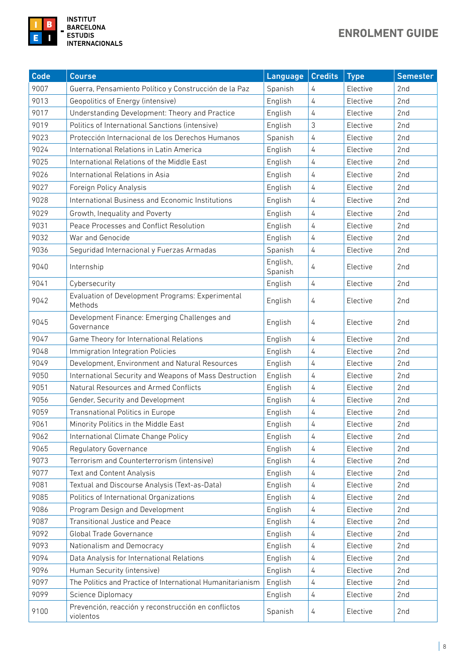

| <b>Code</b> | <b>Course</b>                                                          | Language            | <b>Credits</b> | <b>Type</b> | <b>Semester</b> |
|-------------|------------------------------------------------------------------------|---------------------|----------------|-------------|-----------------|
| 9007        | Guerra, Pensamiento Político y Construcción de la Paz                  | Spanish             | 4              | Elective    | 2 <sub>nd</sub> |
| 9013        | Geopolitics of Energy (intensive)                                      | English             | 4              | Elective    | 2 <sub>nd</sub> |
| 9017        | Understanding Development: Theory and Practice                         | English             | 4              | Elective    | 2nd             |
| 9019        | Politics of International Sanctions (intensive)                        | English             | 3              | Elective    | 2nd             |
| 9023        | Protección Internacional de los Derechos Humanos                       | Spanish             | 4              | Elective    | 2nd             |
| 9024        | International Relations in Latin America                               | English             | 4              | Elective    | 2nd             |
| 9025        | International Relations of the Middle East                             | English             | 4              | Elective    | 2nd             |
| 9026        | International Relations in Asia                                        | English             | 4              | Elective    | 2nd             |
| 9027        | Foreign Policy Analysis                                                | English             | 4              | Elective    | 2nd             |
| 9028        | International Business and Economic Institutions                       | English             | 4              | Elective    | 2nd             |
| 9029        | Growth, Inequality and Poverty                                         | English             | 4              | Elective    | 2nd             |
| 9031        | Peace Processes and Conflict Resolution                                | English             | 4              | Elective    | 2nd             |
| 9032        | War and Genocide                                                       | English             | 4              | Elective    | 2nd             |
| 9036        | Seguridad Internacional y Fuerzas Armadas                              | Spanish             | 4              | Elective    | 2nd             |
| 9040        | Internship                                                             | English,<br>Spanish | 4              | Elective    | 2nd             |
| 9041        | Cybersecurity                                                          | English             | 4              | Elective    | 2nd             |
| 9042        | Evaluation of Development Programs: Experimental<br>English<br>Methods |                     | 4              | Elective    | 2nd             |
| 9045        | Development Finance: Emerging Challenges and<br>English<br>Governance  |                     | 4              | Elective    | 2nd             |
| 9047        | Game Theory for International Relations                                | English             | 4              | Elective    | 2nd             |
| 9048        | Immigration Integration Policies                                       | English             | 4              | Elective    | 2nd             |
| 9049        | Development, Environment and Natural Resources                         | English             | 4              | Elective    | 2nd             |
| 9050        | International Security and Weapons of Mass Destruction                 | English             | 4              | Elective    | 2nd             |
| 9051        | Natural Resources and Armed Conflicts                                  | English             | 4              | Elective    | 2nd             |
| 9056        | Gender, Security and Development                                       | English             | 4              | Elective    | 2nd             |
| 9059        | Transnational Politics in Europe                                       | English             | 4              | Elective    | 2nd             |
| 9061        | Minority Politics in the Middle East                                   | English             | 4              | Elective    | 2nd             |
| 9062        | International Climate Change Policy                                    | English             | 4              | Elective    | 2nd             |
| 9065        | <b>Regulatory Governance</b>                                           | English             | 4              | Elective    | 2nd             |
| 9073        | Terrorism and Counterterrorism (intensive)                             | English             | 4              | Elective    | 2nd             |
| 9077        | Text and Content Analysis                                              | English             | 4              | Elective    | 2nd             |
| 9081        | Textual and Discourse Analysis (Text-as-Data)                          | English             | 4              | Elective    | 2nd             |
| 9085        | Politics of International Organizations                                | English             | 4              | Elective    | 2nd             |
| 9086        | Program Design and Development                                         | English             | 4              | Elective    | 2nd             |
| 9087        | <b>Transitional Justice and Peace</b>                                  | English             | 4              | Elective    | 2nd             |
| 9092        | Global Trade Governance                                                | English             | 4              | Elective    | 2nd             |
| 9093        | Nationalism and Democracy                                              | English             | 4              | Elective    | 2nd             |
| 9094        | Data Analysis for International Relations                              | English             | 4              | Elective    | 2nd             |
| 9096        | Human Security (intensive)                                             | English             | 4              | Elective    | 2nd             |
| 9097        | The Politics and Practice of International Humanitarianism             | English             | 4              | Elective    | 2nd             |
| 9099        | Science Diplomacy                                                      | English             | 4              | Elective    | 2nd             |
| 9100        | Prevención, reacción y reconstrucción en conflictos<br>violentos       | Spanish             | 4              | Elective    | 2nd             |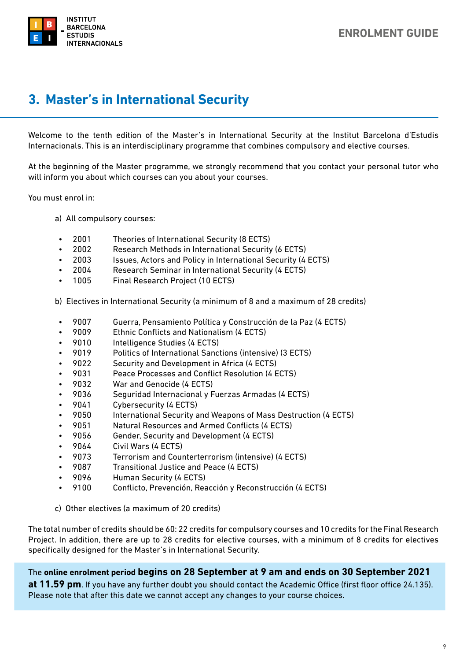<span id="page-8-0"></span>

## **3. Master's in International Security**

Welcome to the tenth edition of the Master's in International Security at the Institut Barcelona d'Estudis Internacionals. This is an interdisciplinary programme that combines compulsory and elective courses.

At the beginning of the Master programme, we strongly recommend that you contact your personal tutor who will inform you about which courses can you about your courses.

You must enrol in:

- a) All compulsory courses:
- 2001 Theories of International Security (8 ECTS)
- 2002 Research Methods in International Security (6 ECTS)
- 2003 Issues, Actors and Policy in International Security (4 ECTS)
- 2004 Research Seminar in International Security (4 ECTS)
- 1005 Final Research Project (10 ECTS)
- b) Electives in International Security (a minimum of 8 and a maximum of 28 credits)
- 9007 Guerra, Pensamiento Política y Construcción de la Paz (4 ECTS)
- 9009 Ethnic Conflicts and Nationalism (4 ECTS)
- 9010 Intelligence Studies (4 ECTS)
- 9019 Politics of International Sanctions (intensive) (3 ECTS)
- 9022 Security and Development in Africa (4 ECTS)
- 9031 Peace Processes and Conflict Resolution (4 ECTS)
- 9032 War and Genocide (4 ECTS)
- 9036 Seguridad Internacional y Fuerzas Armadas (4 ECTS)
- 9041 Cybersecurity (4 ECTS)
- 9050 International Security and Weapons of Mass Destruction (4 ECTS)
- 9051 Natural Resources and Armed Conflicts (4 ECTS)
- 9056 Gender, Security and Development (4 ECTS)
- 9064 Civil Wars (4 ECTS)
- 9073 Terrorism and Counterterrorism (intensive) (4 ECTS)
- 9087 Transitional Justice and Peace (4 ECTS)
- 9096 Human Security (4 ECTS)
- 9100 Conflicto, Prevención, Reacción y Reconstrucción (4 ECTS)
- c) Other electives (a maximum of 20 credits)

The total number of credits should be 60: 22 credits for compulsory courses and 10 credits for the Final Research Project. In addition, there are up to 28 credits for elective courses, with a minimum of 8 credits for electives specifically designed for the Master's in International Security.

The **online enrolment period begins on 28 September at 9 am and ends on 30 September 2021** 

**at 11.59 pm**. If you have any further doubt you should contact the Academic Office (first floor office 24.135). Please note that after this date we cannot accept any changes to your course choices.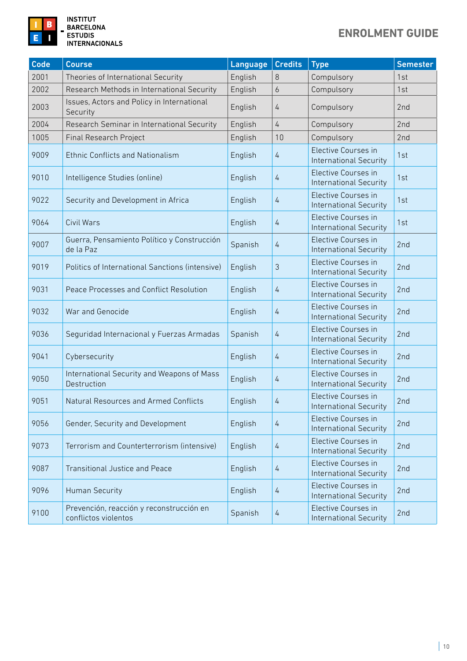

**INSTITUT<br>BARCELONA ESTUDIS INTERNACIONALS** 

## **ENROLMENT GUIDE**

| <b>Code</b> | <b>Course</b>                                                    | Language | <b>Credits</b> | <b>Type</b>                                          | <b>Semester</b> |
|-------------|------------------------------------------------------------------|----------|----------------|------------------------------------------------------|-----------------|
| 2001        | Theories of International Security                               | English  | 8              | Compulsory                                           | 1st             |
| 2002        | Research Methods in International Security                       | English  | 6              | Compulsory                                           | 1st             |
| 2003        | Issues, Actors and Policy in International<br>Security           | English  | $\overline{4}$ | Compulsory                                           | 2nd             |
| 2004        | Research Seminar in International Security                       | English  | $\overline{4}$ | Compulsory                                           | 2nd             |
| 1005        | <b>Final Research Project</b>                                    | English  | 10             | Compulsory                                           | 2nd             |
| 9009        | <b>Ethnic Conflicts and Nationalism</b>                          | English  | $\overline{4}$ | Elective Courses in<br><b>International Security</b> | 1st             |
| 9010        | Intelligence Studies (online)                                    | English  | 4              | Elective Courses in<br><b>International Security</b> | 1st             |
| 9022        | Security and Development in Africa                               | English  | $\overline{4}$ | Elective Courses in<br><b>International Security</b> | 1st             |
| 9064        | Civil Wars                                                       | English  | 4              | Elective Courses in<br><b>International Security</b> | 1st             |
| 9007        | Guerra, Pensamiento Político y Construcción<br>de la Paz         | Spanish  | $\overline{4}$ | Elective Courses in<br><b>International Security</b> | 2nd             |
| 9019        | Politics of International Sanctions (intensive)                  | English  | 3              | Elective Courses in<br><b>International Security</b> | 2nd             |
| 9031        | Peace Processes and Conflict Resolution                          | English  | 4              | Elective Courses in<br><b>International Security</b> | 2nd             |
| 9032        | War and Genocide                                                 | English  | $\overline{4}$ | Elective Courses in<br><b>International Security</b> | 2nd             |
| 9036        | Seguridad Internacional y Fuerzas Armadas                        | Spanish  | $\overline{4}$ | Elective Courses in<br><b>International Security</b> | 2nd             |
| 9041        | Cybersecurity                                                    | English  | 4              | Elective Courses in<br><b>International Security</b> | 2nd             |
| 9050        | International Security and Weapons of Mass<br>Destruction        | English  | 4              | Elective Courses in<br><b>International Security</b> | 2nd             |
| 9051        | Natural Resources and Armed Conflicts                            | English  | 4              | Elective Courses in<br><b>International Security</b> | 2nd             |
| 9056        | Gender, Security and Development                                 | English  | 4              | Elective Courses in<br><b>International Security</b> | 2 <sub>nd</sub> |
| 9073        | Terrorism and Counterterrorism (intensive)                       | English  | 4              | Elective Courses in<br><b>International Security</b> | 2nd             |
| 9087        | <b>Transitional Justice and Peace</b>                            | English  | 4              | Elective Courses in<br><b>International Security</b> | 2nd             |
| 9096        | <b>Human Security</b>                                            | English  | 4              | Elective Courses in<br><b>International Security</b> | 2nd             |
| 9100        | Prevención, reacción y reconstrucción en<br>conflictos violentos | Spanish  | 4              | Elective Courses in<br><b>International Security</b> | 2nd             |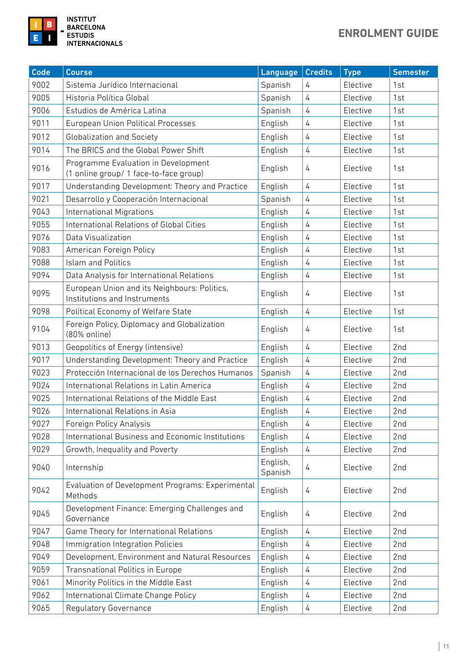

| Code | <b>Course</b>                                                                            | Language            | <b>Credits</b> | <b>Type</b> | <b>Semester</b> |
|------|------------------------------------------------------------------------------------------|---------------------|----------------|-------------|-----------------|
| 9002 | Sistema Jurídico Internacional                                                           | Spanish             | 4              | Elective    | 1st             |
| 9005 | Historia Política Global                                                                 | Spanish             | $\sqrt{4}$     | Elective    | 1st             |
| 9006 | Estudios de América Latina                                                               | Spanish             | 4              | Elective    | 1st             |
| 9011 | European Union Political Processes                                                       | English             | $\overline{4}$ | Elective    | 1st             |
| 9012 | <b>Globalization and Society</b>                                                         | English             | $\overline{4}$ | Elective    | 1st             |
| 9014 | The BRICS and the Global Power Shift                                                     | English             | $\overline{4}$ | Elective    | 1st             |
| 9016 | Programme Evaluation in Development<br>English<br>(1 online group/ 1 face-to-face group) |                     | 4              | Elective    | 1st             |
| 9017 | Understanding Development: Theory and Practice                                           | English             | $\overline{4}$ | Elective    | 1st             |
| 9021 | Desarrollo y Cooperación Internacional                                                   | Spanish             | $\overline{4}$ | Elective    | 1st             |
| 9043 | <b>International Migrations</b>                                                          | English             | $\overline{4}$ | Elective    | 1st             |
| 9055 | International Relations of Global Cities                                                 | English             | 4              | Elective    | 1st             |
| 9076 | Data Visualization                                                                       | English             | $\overline{4}$ | Elective    | 1st             |
| 9083 | American Foreign Policy                                                                  | English             | $\overline{4}$ | Elective    | 1st             |
| 9088 | <b>Islam and Politics</b>                                                                | English             | 4              | Elective    | 1st             |
| 9094 | Data Analysis for International Relations                                                | English             | $\overline{4}$ | Elective    | 1st             |
| 9095 | European Union and its Neighbours: Politics,<br>Institutions and Instruments             | English             | 4              | Elective    | 1st             |
| 9098 | Political Economy of Welfare State                                                       | English             | $\overline{4}$ | Elective    | 1st             |
| 9104 | Foreign Policy, Diplomacy and Globalization<br>English<br>(80% online)                   |                     | 4              | Elective    | 1st             |
| 9013 | Geopolitics of Energy (intensive)                                                        | English             | 4              | Elective    | 2nd             |
| 9017 | Understanding Development: Theory and Practice                                           | English             | $\overline{4}$ | Elective    | 2nd             |
| 9023 | Protección Internacional de los Derechos Humanos                                         | Spanish             | $\overline{4}$ | Elective    | 2nd             |
| 9024 | International Relations in Latin America                                                 | English             | $\overline{4}$ | Elective    | 2nd             |
| 9025 | International Relations of the Middle East                                               | English             | 4              | Elective    | 2nd             |
| 9026 | International Relations in Asia                                                          | English             | 4              | Elective    | 2nd             |
| 9027 | Foreign Policy Analysis                                                                  | English             | 4              | Elective    | 2nd             |
| 9028 | International Business and Economic Institutions                                         | English             | 4              | Elective    | 2nd             |
| 9029 | Growth, Inequality and Poverty                                                           | English             | 4              | Elective    | 2nd             |
| 9040 | Internship                                                                               | English,<br>Spanish | 4              | Elective    | 2nd             |
| 9042 | Evaluation of Development Programs: Experimental<br>Methods                              | English             | 4              | Elective    | 2nd             |
| 9045 | Development Finance: Emerging Challenges and<br>Governance                               | English             | 4              | Elective    | 2nd             |
| 9047 | Game Theory for International Relations                                                  | English             | 4              | Elective    | 2nd             |
| 9048 | Immigration Integration Policies                                                         | English             | 4              | Elective    | 2nd             |
| 9049 | Development, Environment and Natural Resources                                           | English             | 4              | Elective    | 2nd             |
| 9059 | Transnational Politics in Europe                                                         | English             | 4              | Elective    | 2nd             |
| 9061 | Minority Politics in the Middle East                                                     | English             | 4              | Elective    | 2nd             |
| 9062 | International Climate Change Policy                                                      | English             | 4              | Elective    | 2nd             |
| 9065 | <b>Regulatory Governance</b>                                                             | English             | 4              | Elective    | 2nd             |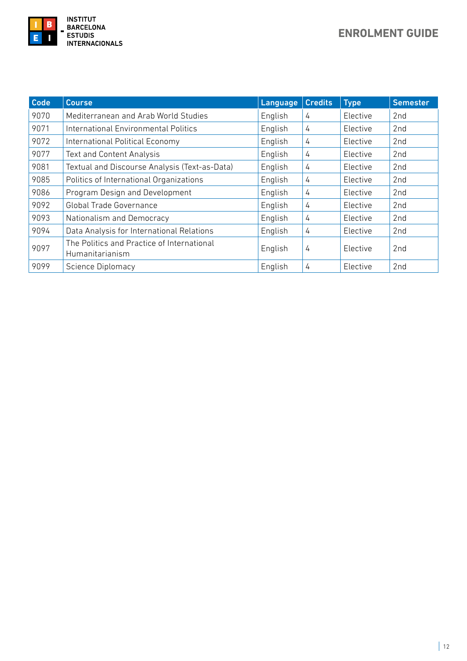

| Code | <b>Course</b>                                                 | Language | <b>Credits</b> | <b>Type</b> | <b>Semester</b> |
|------|---------------------------------------------------------------|----------|----------------|-------------|-----------------|
| 9070 | Mediterranean and Arab World Studies                          | English  | 4              | Elective    | 2nd             |
| 9071 | International Environmental Politics                          | English  | 4              | Elective    | 2nd             |
| 9072 | International Political Economy                               | English  | 4              | Elective    | 2nd             |
| 9077 | <b>Text and Content Analysis</b>                              | English  | 4              | Elective    | 2nd             |
| 9081 | Textual and Discourse Analysis (Text-as-Data)                 | English  | 4              | Elective    | 2nd             |
| 9085 | Politics of International Organizations                       | English  | 4              | Elective    | 2nd             |
| 9086 | Program Design and Development                                | English  | 4              | Elective    | 2nd             |
| 9092 | <b>Global Trade Governance</b>                                | English  | 4              | Elective    | 2nd             |
| 9093 | Nationalism and Democracy                                     | English  | 4              | Elective    | 2nd             |
| 9094 | Data Analysis for International Relations                     | English  | 4              | Elective    | 2nd             |
| 9097 | The Politics and Practice of International<br>Humanitarianism | English  | 4              | Elective    | 2nd             |
| 9099 | <b>Science Diplomacy</b>                                      | English  | 4              | Elective    | 2 <sub>nd</sub> |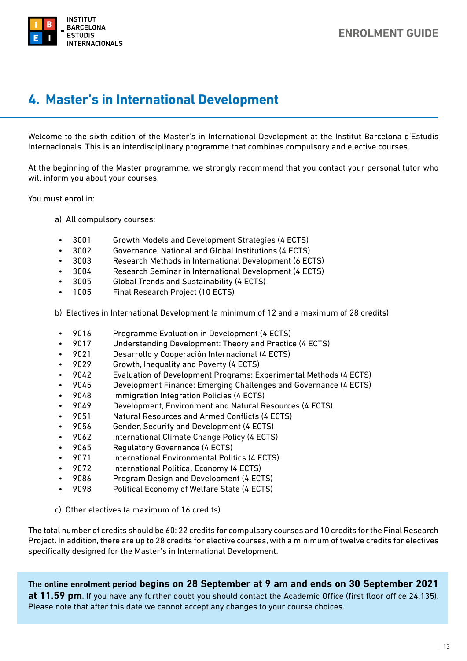<span id="page-12-0"></span>

## **4. Master's in International Development**

Welcome to the sixth edition of the Master's in International Development at the Institut Barcelona d'Estudis Internacionals. This is an interdisciplinary programme that combines compulsory and elective courses.

At the beginning of the Master programme, we strongly recommend that you contact your personal tutor who will inform you about your courses.

You must enrol in:

- a) All compulsory courses:
	- 3001 Growth Models and Development Strategies (4 ECTS)
	- 3002 Governance, National and Global Institutions (4 ECTS)
	- 3003 Research Methods in International Development (6 ECTS)
	- 3004 Research Seminar in International Development (4 ECTS)
	- 3005 Global Trends and Sustainability (4 ECTS)
	- 1005 Final Research Project (10 ECTS)
- b) Electives in International Development (a minimum of 12 and a maximum of 28 credits)
	- 9016 Programme Evaluation in Development (4 ECTS)
	- 9017 Understanding Development: Theory and Practice (4 ECTS)
	- 9021 Desarrollo y Cooperación Internacional (4 ECTS)
	- 9029 Growth, Inequality and Poverty (4 ECTS)
	- 9042 Evaluation of Development Programs: Experimental Methods (4 ECTS)
	- 9045 Development Finance: Emerging Challenges and Governance (4 ECTS)
	- 9048 Immigration Integration Policies (4 ECTS)
	- 9049 Development, Environment and Natural Resources (4 ECTS)
	- 9051 Natural Resources and Armed Conflicts (4 ECTS)
	- 9056 Gender, Security and Development (4 ECTS)
	- 9062 International Climate Change Policy (4 ECTS)
	- 9065 Regulatory Governance (4 ECTS)
	- 9071 International Environmental Politics (4 ECTS)
	- 9072 International Political Economy (4 ECTS)
- 9086 Program Design and Development (4 ECTS)
- 9098 Political Economy of Welfare State (4 ECTS)
- c) Other electives (a maximum of 16 credits)

The total number of credits should be 60: 22 credits for compulsory courses and 10 credits for the Final Research Project. In addition, there are up to 28 credits for elective courses, with a minimum of twelve credits for electives specifically designed for the Master's in International Development.

The **online enrolment period begins on 28 September at 9 am and ends on 30 September 2021** 

**at 11.59 pm**. If you have any further doubt you should contact the Academic Office (first floor office 24.135). Please note that after this date we cannot accept any changes to your course choices.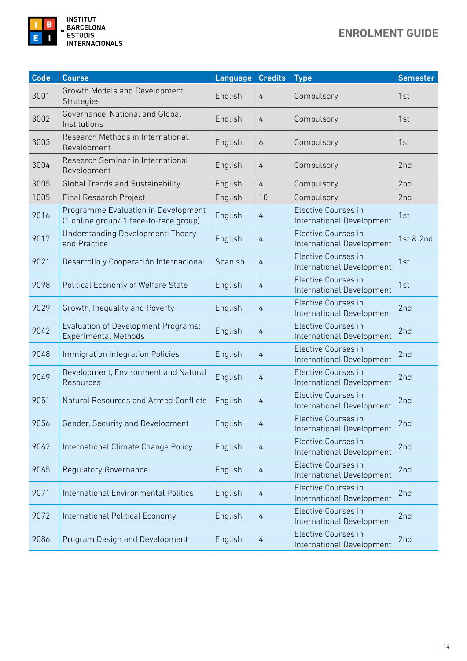

| <b>Code</b> | <b>Course</b>                                                                 | Language | <b>Credits</b> | <b>Type</b>                                      | <b>Semester</b> |
|-------------|-------------------------------------------------------------------------------|----------|----------------|--------------------------------------------------|-----------------|
| 3001        | Growth Models and Development<br>Strategies                                   | English  | 4              | Compulsory                                       | 1st             |
| 3002        | Governance, National and Global<br>Institutions                               | English  | 4              | Compulsory                                       | 1st             |
| 3003        | Research Methods in International<br>Development                              | English  | 6              | Compulsory                                       | 1st             |
| 3004        | Research Seminar in International<br>Development                              | English  | 4              | Compulsory                                       | 2nd             |
| 3005        | <b>Global Trends and Sustainability</b>                                       | English  | $\overline{4}$ | Compulsory                                       | 2nd             |
| 1005        | Final Research Project                                                        | English  | 10             | Compulsory                                       | 2nd             |
| 9016        | Programme Evaluation in Development<br>(1 online group/ 1 face-to-face group) | English  | 4              | Elective Courses in<br>International Development | 1st             |
| 9017        | Understanding Development: Theory<br>and Practice                             | English  | $\overline{4}$ | Elective Courses in<br>International Development | 1st & 2nd       |
| 9021        | Desarrollo y Cooperación Internacional                                        | Spanish  | $\overline{4}$ | Elective Courses in<br>International Development | 1st             |
| 9098        | Political Economy of Welfare State                                            | English  | 4              | Elective Courses in<br>International Development | 1st             |
| 9029        | Growth, Inequality and Poverty                                                | English  | 4              | Elective Courses in<br>International Development | 2nd             |
| 9042        | Evaluation of Development Programs:<br><b>Experimental Methods</b>            | English  | $\overline{4}$ | Elective Courses in<br>International Development | 2nd             |
| 9048        | Immigration Integration Policies                                              | English  | 4              | Elective Courses in<br>International Development | 2nd             |
| 9049        | Development, Environment and Natural<br>Resources                             | English  | 4              | Elective Courses in<br>International Development | 2nd             |
| 9051        | Natural Resources and Armed Conflicts                                         | English  | 4              | Elective Courses in<br>International Development | 2nd             |
| 9056        | Gender, Security and Development                                              | English  | 4              | Elective Courses in<br>International Development | 2nd             |
| 9062        | International Climate Change Policy                                           | English  | 4              | Elective Courses in<br>International Development | 2nd             |
| 9065        | <b>Regulatory Governance</b>                                                  | English  | 4              | Elective Courses in<br>International Development | 2nd             |
| 9071        | <b>International Environmental Politics</b>                                   | English  | 4              | Elective Courses in<br>International Development | 2nd             |
| 9072        | International Political Economy                                               | English  | 4              | Elective Courses in<br>International Development | 2nd             |
| 9086        | Program Design and Development                                                | English  | $\overline{4}$ | Elective Courses in<br>International Development | 2nd             |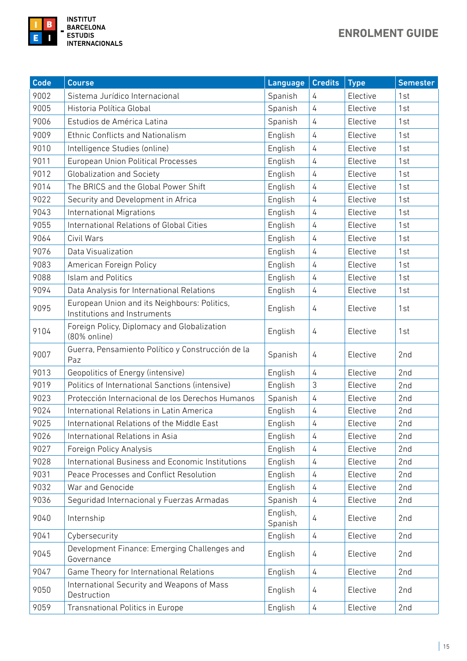

| <b>Code</b> | <b>Course</b>                                                                           | Language            | <b>Credits</b> | <b>Type</b> | <b>Semester</b> |
|-------------|-----------------------------------------------------------------------------------------|---------------------|----------------|-------------|-----------------|
| 9002        | Sistema Jurídico Internacional                                                          | Spanish             | 4              | Elective    | 1st             |
| 9005        | Historia Política Global                                                                | Spanish             | 4              | Elective    | 1st             |
| 9006        | Estudios de América Latina                                                              | Spanish             | 4              | Elective    | 1st             |
| 9009        | <b>Ethnic Conflicts and Nationalism</b>                                                 | English             | $\overline{4}$ | Elective    | 1st             |
| 9010        | Intelligence Studies (online)                                                           | English             | $\overline{4}$ | Elective    | 1st             |
| 9011        | <b>European Union Political Processes</b>                                               | English             | 4              | Elective    | 1st             |
| 9012        | Globalization and Society                                                               | English             | 4              | Elective    | 1st             |
| 9014        | The BRICS and the Global Power Shift                                                    | English             | $\overline{4}$ | Elective    | 1st             |
| 9022        | Security and Development in Africa                                                      | English             | 4              | Elective    | 1st             |
| 9043        | <b>International Migrations</b>                                                         | English             | 4              | Elective    | 1st             |
| 9055        | International Relations of Global Cities                                                | English             | 4              | Elective    | 1st             |
| 9064        | Civil Wars                                                                              | English             | 4              | Elective    | 1st             |
| 9076        | Data Visualization                                                                      | English             | 4              | Elective    | 1st             |
| 9083        | American Foreign Policy                                                                 | English             | 4              | Elective    | 1st             |
| 9088        | <b>Islam and Politics</b>                                                               | English             | $\overline{4}$ | Elective    | 1st             |
| 9094        | Data Analysis for International Relations                                               | English             | 4              | Elective    | 1st             |
| 9095        | European Union and its Neighbours: Politics,<br>English<br>Institutions and Instruments |                     | 4              | Elective    | 1st             |
| 9104        | Foreign Policy, Diplomacy and Globalization<br>English<br>(80% online)                  |                     | 4              | Elective    | 1st             |
| 9007        | Guerra, Pensamiento Político y Construcción de la<br>Paz                                | Spanish             | 4              | Elective    | 2nd             |
| 9013        | Geopolitics of Energy (intensive)                                                       | English             | $\overline{4}$ | Elective    | 2nd             |
| 9019        | Politics of International Sanctions (intensive)                                         | English             | 3              | Elective    | 2nd             |
| 9023        | Protección Internacional de los Derechos Humanos                                        | Spanish             | $\overline{4}$ | Elective    | 2nd             |
| 9024        | International Relations in Latin America                                                | English             | 4              | Elective    | 2nd             |
| 9025        | International Relations of the Middle East                                              | English             | 4              | Elective    | 2nd             |
| 9026        | International Relations in Asia                                                         | English             | 4              | Elective    | 2nd             |
| 9027        | Foreign Policy Analysis                                                                 | English             | 4              | Elective    | 2nd             |
| 9028        | International Business and Economic Institutions                                        | English             | 4              | Elective    | 2nd             |
| 9031        | Peace Processes and Conflict Resolution                                                 | English             | 4              | Elective    | 2nd             |
| 9032        | War and Genocide                                                                        | English             | 4              | Elective    | 2nd             |
| 9036        | Seguridad Internacional y Fuerzas Armadas                                               | Spanish             | 4              | Elective    | 2nd             |
| 9040        | Internship                                                                              | English,<br>Spanish | 4              | Elective    | 2nd             |
| 9041        | Cybersecurity                                                                           | English             | 4              | Elective    | 2nd             |
| 9045        | Development Finance: Emerging Challenges and<br>Governance                              | English             | 4              | Elective    | 2nd             |
| 9047        | Game Theory for International Relations                                                 | English             | 4              | Elective    | 2nd             |
| 9050        | International Security and Weapons of Mass<br>Destruction                               | English             | 4              | Elective    | 2nd             |
| 9059        | Transnational Politics in Europe                                                        | English             | 4              | Elective    | 2nd             |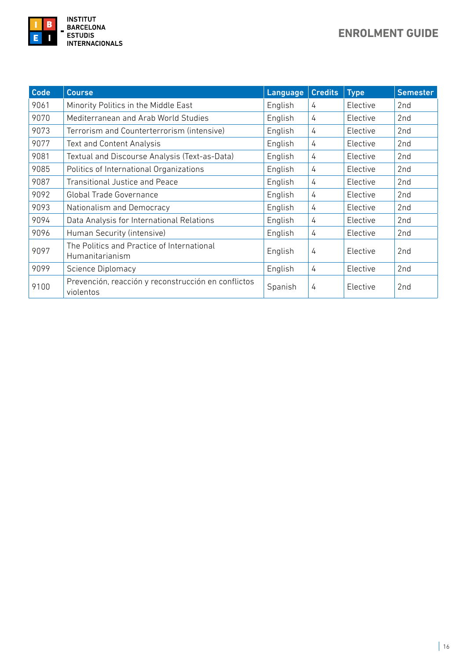

| Code | <b>Course</b>                                                    | Language                 | <b>Credits</b> | <b>Type</b> | <b>Semester</b> |
|------|------------------------------------------------------------------|--------------------------|----------------|-------------|-----------------|
| 9061 | Minority Politics in the Middle East                             | English                  | 4              | Elective    | 2 <sub>nd</sub> |
| 9070 | Mediterranean and Arab World Studies                             | English                  | 4              | Elective    | 2nd             |
| 9073 | Terrorism and Counterterrorism (intensive)                       | English                  | 4              | Elective    | 2nd             |
| 9077 | <b>Text and Content Analysis</b>                                 | English                  | 4              | Elective    | 2nd             |
| 9081 | Textual and Discourse Analysis (Text-as-Data)                    | English<br>Elective<br>4 |                |             | 2nd             |
| 9085 | Politics of International Organizations                          | English                  | 4              | Elective    | 2 <sub>nd</sub> |
| 9087 | <b>Transitional Justice and Peace</b>                            | English                  | 4              | Elective    | 2nd             |
| 9092 | <b>Global Trade Governance</b>                                   | English                  | 4              | Elective    | 2nd             |
| 9093 | Nationalism and Democracy                                        | English                  | 4              | Elective    | 2nd             |
| 9094 | Data Analysis for International Relations                        | English                  | 4              | Elective    | 2 <sub>nd</sub> |
| 9096 | Human Security (intensive)                                       | English                  | 4              | Elective    | 2nd             |
| 9097 | The Politics and Practice of International<br>Humanitarianism    | English                  | 4              | Elective    | 2 <sub>nd</sub> |
| 9099 | Science Diplomacy                                                | English                  | 4              | Elective    | 2 <sub>nd</sub> |
| 9100 | Prevención, reacción y reconstrucción en conflictos<br>violentos | Spanish                  | 4              | Elective    | 2nd             |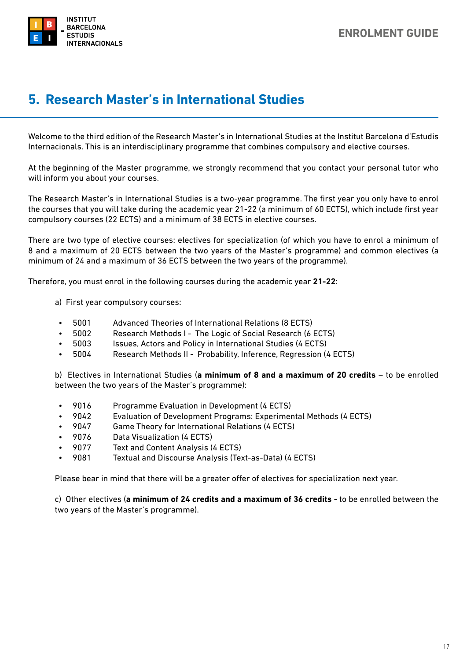<span id="page-16-0"></span>

## **5. Research Master's in International Studies**

Welcome to the third edition of the Research Master's in International Studies at the Institut Barcelona d'Estudis Internacionals. This is an interdisciplinary programme that combines compulsory and elective courses.

At the beginning of the Master programme, we strongly recommend that you contact your personal tutor who will inform you about your courses.

The Research Master's in International Studies is a two-year programme. The first year you only have to enrol the courses that you will take during the academic year 21-22 (a minimum of 60 ECTS), which include first year compulsory courses (22 ECTS) and a minimum of 38 ECTS in elective courses.

There are two type of elective courses: electives for specialization (of which you have to enrol a minimum of 8 and a maximum of 20 ECTS between the two years of the Master's programme) and common electives (a minimum of 24 and a maximum of 36 ECTS between the two years of the programme).

Therefore, you must enrol in the following courses during the academic year **21-22**:

- a) First year compulsory courses:
	- 5001 Advanced Theories of International Relations (8 ECTS)
	- 5002 Research Methods I The Logic of Social Research (6 ECTS)
	- 5003 Issues, Actors and Policy in International Studies (4 ECTS)
	- 5004 Research Methods II Probability, Inference, Regression (4 ECTS)

b) Electives in International Studies (**a minimum of 8 and a maximum of 20 credits** – to be enrolled between the two years of the Master's programme):

- 9016 Programme Evaluation in Development (4 ECTS)
- 9042 Evaluation of Development Programs: Experimental Methods (4 ECTS)
- 9047 Game Theory for International Relations (4 ECTS)
- 9076 Data Visualization (4 ECTS)
- 9077 Text and Content Analysis (4 ECTS)
- 9081 Textual and Discourse Analysis (Text-as-Data) (4 ECTS)

Please bear in mind that there will be a greater offer of electives for specialization next year.

c) Other electives (**a minimum of 24 credits and a maximum of 36 credits** - to be enrolled between the two years of the Master's programme).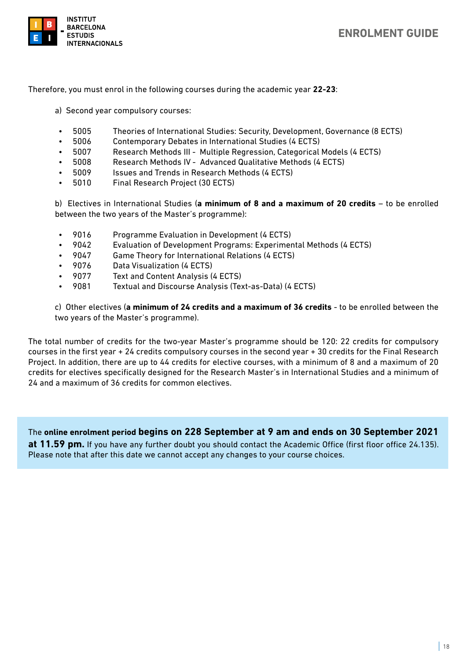

#### **ENROLMENT GUIDE**

Therefore, you must enrol in the following courses during the academic year **22-23**:

- a) Second year compulsory courses:
	- 5005 Theories of International Studies: Security, Development, Governance (8 ECTS)
	- 5006 Contemporary Debates in International Studies (4 ECTS)
	- 5007 Research Methods III Multiple Regression, Categorical Models (4 ECTS)
	- 5008 Research Methods IV Advanced Qualitative Methods (4 ECTS)
	- 5009 Issues and Trends in Research Methods (4 ECTS)
	- 5010 Final Research Project (30 ECTS)

b) Electives in International Studies (**a minimum of 8 and a maximum of 20 credits** – to be enrolled between the two years of the Master's programme):

- 9016 Programme Evaluation in Development (4 ECTS)
- 9042 Evaluation of Development Programs: Experimental Methods (4 ECTS)
- 9047 Game Theory for International Relations (4 ECTS)
- 9076 Data Visualization (4 ECTS)
- 9077 Text and Content Analysis (4 ECTS)
- 9081 Textual and Discourse Analysis (Text-as-Data) (4 ECTS)

c) Other electives (**a minimum of 24 credits and a maximum of 36 credits** - to be enrolled between the two years of the Master's programme).

The total number of credits for the two-year Master's programme should be 120: 22 credits for compulsory courses in the first year + 24 credits compulsory courses in the second year + 30 credits for the Final Research Project. In addition, there are up to 44 credits for elective courses, with a minimum of 8 and a maximum of 20 credits for electives specifically designed for the Research Master's in International Studies and a minimum of 24 and a maximum of 36 credits for common electives.

The **online enrolment period begins on 228 September at 9 am and ends on 30 September 2021 at 11.59 pm.** If you have any further doubt you should contact the Academic Office (first floor office 24.135). Please note that after this date we cannot accept any changes to your course choices.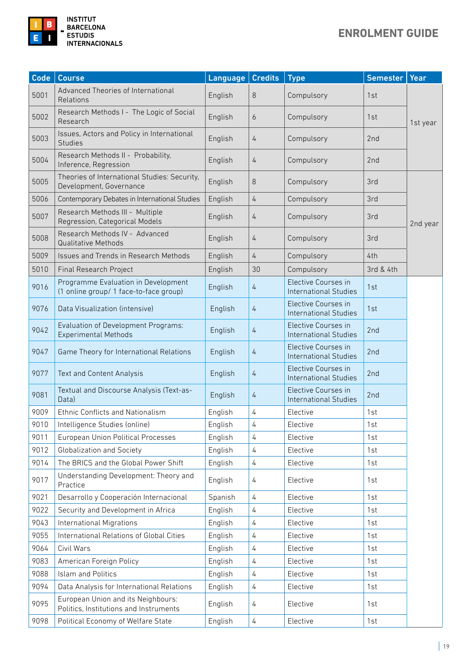## **ENROLMENT GUIDE**



| Code | Course                                                                        | Language | <b>Credits</b> | <b>Type</b>                                         | <b>Semester</b> | Year     |
|------|-------------------------------------------------------------------------------|----------|----------------|-----------------------------------------------------|-----------------|----------|
| 5001 | Advanced Theories of International<br>Relations                               | English  | 8              | Compulsory                                          | 1st             |          |
| 5002 | Research Methods I - The Logic of Social<br>Research                          | English  | 6              | Compulsory                                          | 1st             | 1st year |
| 5003 | Issues, Actors and Policy in International<br><b>Studies</b>                  | English  | 4              | Compulsory                                          | 2nd             |          |
| 5004 | Research Methods II - Probability,<br>Inference, Regression                   | English  | 4              | Compulsory                                          | 2nd             |          |
| 5005 | Theories of International Studies: Security,<br>Development, Governance       | English  | $\,8\,$        | Compulsory                                          | 3rd             |          |
| 5006 | Contemporary Debates in International Studies                                 | English  | 4              | Compulsory                                          | 3rd             |          |
| 5007 | Research Methods III - Multiple<br>Regression, Categorical Models             | English  | 4              | Compulsory                                          | 3rd             | 2nd year |
| 5008 | Research Methods IV - Advanced<br><b>Qualitative Methods</b>                  | English  | 4              | Compulsory                                          | 3rd             |          |
| 5009 | Issues and Trends in Research Methods                                         | English  | 4              | Compulsory                                          | 4th             |          |
| 5010 | <b>Final Research Project</b>                                                 | English  | 30             | Compulsory                                          | 3rd & 4th       |          |
| 9016 | Programme Evaluation in Development<br>(1 online group/ 1 face-to-face group) | English  | 4              | Elective Courses in<br><b>International Studies</b> | 1st             |          |
| 9076 | Data Visualization (intensive)                                                | English  | 4              | Elective Courses in<br><b>International Studies</b> | 1st             |          |
| 9042 | Evaluation of Development Programs:<br><b>Experimental Methods</b>            | English  | 4              | Elective Courses in<br><b>International Studies</b> | 2nd             |          |
| 9047 | Game Theory for International Relations                                       | English  | 4              | Elective Courses in<br><b>International Studies</b> | 2nd             |          |
| 9077 | <b>Text and Content Analysis</b>                                              | English  | 4              | Elective Courses in<br><b>International Studies</b> | 2nd             |          |
| 9081 | Textual and Discourse Analysis (Text-as-<br>Data)                             | English  | 4              | Elective Courses in<br><b>International Studies</b> | 2nd             |          |
| 9009 | Ethnic Conflicts and Nationalism                                              | English  | 4              | Elective                                            | 1st             |          |
| 9010 | Intelligence Studies (online)                                                 | English  | 4              | Elective                                            | 1st             |          |
| 9011 | <b>European Union Political Processes</b>                                     | English  | 4              | Elective                                            | 1st             |          |
| 9012 | Globalization and Society                                                     | English  | 4              | Elective                                            | 1st             |          |
| 9014 | The BRICS and the Global Power Shift                                          | English  | 4              | Elective                                            | 1st             |          |
| 9017 | Understanding Development: Theory and<br>Practice                             | English  | 4              | Elective                                            | 1st             |          |
| 9021 | Desarrollo y Cooperación Internacional                                        | Spanish  | 4              | Elective                                            | 1st             |          |
| 9022 | Security and Development in Africa                                            | English  | 4              | Elective                                            | 1st             |          |
| 9043 | <b>International Migrations</b>                                               | English  | 4              | Elective                                            | 1st             |          |
| 9055 | International Relations of Global Cities                                      | English  | 4              | Elective                                            | 1st             |          |
| 9064 | Civil Wars                                                                    | English  | 4              | Elective                                            | 1st             |          |
| 9083 | American Foreign Policy                                                       | English  | 4              | Elective                                            | 1st             |          |
| 9088 | Islam and Politics                                                            | English  | 4              | Elective                                            | 1st             |          |
| 9094 | Data Analysis for International Relations                                     | English  | 4              | Elective                                            | 1st             |          |
| 9095 | European Union and its Neighbours:<br>Politics, Institutions and Instruments  | English  | 4              | Elective                                            | 1st             |          |
| 9098 | Political Economy of Welfare State                                            | English  | 4              | Elective                                            | 1st             |          |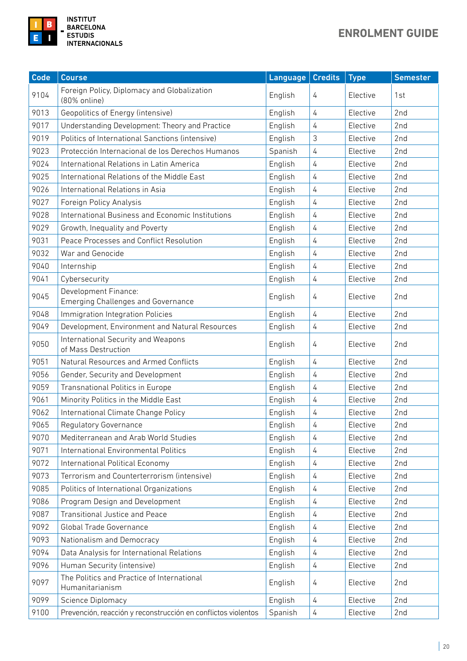

| <b>Code</b> | <b>Course</b>                                                     | Language | <b>Credits</b> | <b>Type</b> | <b>Semester</b> |
|-------------|-------------------------------------------------------------------|----------|----------------|-------------|-----------------|
| 9104        | Foreign Policy, Diplomacy and Globalization<br>(80% online)       | English  | 4              | Elective    | 1st             |
| 9013        | Geopolitics of Energy (intensive)                                 | English  | $\overline{4}$ | Elective    | 2nd             |
| 9017        | Understanding Development: Theory and Practice                    | English  | $\overline{4}$ | Elective    | 2nd             |
| 9019        | Politics of International Sanctions (intensive)                   | English  | 3              | Elective    | 2nd             |
| 9023        | Protección Internacional de los Derechos Humanos                  | Spanish  | 4              | Elective    | 2nd             |
| 9024        | International Relations in Latin America                          | English  | $\overline{4}$ | Elective    | 2nd             |
| 9025        | International Relations of the Middle East                        | English  | $\overline{4}$ | Elective    | 2nd             |
| 9026        | International Relations in Asia                                   | English  | $\overline{4}$ | Elective    | 2nd             |
| 9027        | Foreign Policy Analysis                                           | English  | $\overline{4}$ | Elective    | 2nd             |
| 9028        | International Business and Economic Institutions                  | English  | $\overline{4}$ | Elective    | 2nd             |
| 9029        | Growth, Inequality and Poverty                                    | English  | $\overline{4}$ | Elective    | 2nd             |
| 9031        | Peace Processes and Conflict Resolution                           | English  | 4              | Elective    | 2nd             |
| 9032        | War and Genocide                                                  | English  | $\overline{4}$ | Elective    | 2nd             |
| 9040        | Internship                                                        | English  | $\overline{4}$ | Elective    | 2nd             |
| 9041        | Cybersecurity                                                     | English  | $\overline{4}$ | Elective    | 2nd             |
| 9045        | Development Finance:<br><b>Emerging Challenges and Governance</b> | English  | 4              | Elective    | 2 <sub>nd</sub> |
| 9048        | Immigration Integration Policies                                  | English  | 4              | Elective    | 2 <sub>nd</sub> |
| 9049        | Development, Environment and Natural Resources                    | English  | $\overline{4}$ | Elective    | 2nd             |
| 9050        | International Security and Weapons<br>of Mass Destruction         | English  | 4              | Elective    | 2nd             |
| 9051        | Natural Resources and Armed Conflicts                             | English  | 4              | Elective    | 2nd             |
| 9056        | Gender, Security and Development                                  | English  | $\overline{4}$ | Elective    | 2nd             |
| 9059        | Transnational Politics in Europe                                  | English  | $\overline{4}$ | Elective    | 2nd             |
| 9061        | Minority Politics in the Middle East                              | English  | 4              | Elective    | 2nd             |
| 9062        | International Climate Change Policy                               | English  | 4              | Elective    | 2nd             |
| 9065        | Regulatory Governance                                             | English  | 4              | Elective    | 2nd             |
| 9070        | Mediterranean and Arab World Studies                              | English  | $\overline{4}$ | Elective    | 2nd             |
| 9071        | International Environmental Politics                              | English  | $\overline{4}$ | Elective    | 2 <sub>nd</sub> |
| 9072        | International Political Economy                                   | English  | $\overline{4}$ | Elective    | 2nd             |
| 9073        | Terrorism and Counterterrorism (intensive)                        | English  | 4              | Elective    | 2nd             |
| 9085        | Politics of International Organizations                           | English  | $\overline{4}$ | Elective    | 2nd             |
| 9086        | Program Design and Development                                    | English  | $\overline{4}$ | Elective    | 2nd             |
| 9087        | <b>Transitional Justice and Peace</b>                             | English  | $\overline{4}$ | Elective    | 2 <sub>nd</sub> |
| 9092        | Global Trade Governance                                           | English  | 4              | Elective    | 2nd             |
| 9093        | Nationalism and Democracy                                         | English  | 4              | Elective    | 2nd             |
| 9094        | Data Analysis for International Relations                         | English  | $\overline{4}$ | Elective    | 2nd             |
| 9096        | Human Security (intensive)                                        | English  | $\overline{4}$ | Elective    | 2nd             |
| 9097        | The Politics and Practice of International<br>Humanitarianism     | English  | 4              | Elective    | 2nd             |
| 9099        | Science Diplomacy                                                 | English  | $\overline{4}$ | Elective    | 2nd             |
| 9100        | Prevención, reacción y reconstrucción en conflictos violentos     | Spanish  | $\overline{4}$ | Elective    | 2nd             |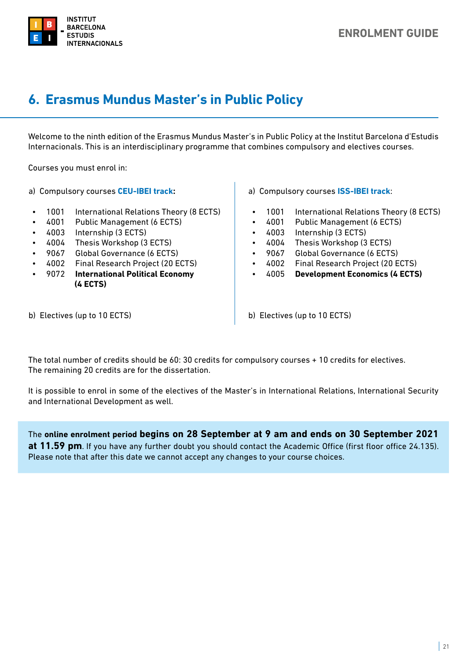<span id="page-20-0"></span>

## **6. Erasmus Mundus Master's in Public Policy**

Welcome to the ninth edition of the Erasmus Mundus Master's in Public Policy at the Institut Barcelona d'Estudis Internacionals. This is an interdisciplinary programme that combines compulsory and electives courses.

Courses you must enrol in:

a) Compulsory courses **CEU-IBEI track:**

- 1001 International Relations Theory (8 ECTS)
- 4001 Public Management (6 ECTS)
- 4003 Internship (3 ECTS)
- 4004 Thesis Workshop (3 ECTS)
- 9067 Global Governance (6 ECTS)
- 4002 Final Research Project (20 ECTS)
- 9072 **International Political Economy (4 ECTS)**
- a) Compulsory courses **ISS-IBEI track**:
- 1001 International Relations Theory (8 ECTS)
- 4001 Public Management (6 ECTS)
- 4003 Internship (3 ECTS)
- 4004 Thesis Workshop (3 ECTS)
- 9067 Global Governance (6 ECTS)
- 4002 Final Research Project (20 ECTS)
- 4005 **Development Economics (4 ECTS)**

b) Electives (up to 10 ECTS)

b) Electives (up to 10 ECTS)

The total number of credits should be 60: 30 credits for compulsory courses + 10 credits for electives. The remaining 20 credits are for the dissertation.

It is possible to enrol in some of the electives of the Master's in International Relations, International Security and International Development as well.

The **online enrolment period begins on 28 September at 9 am and ends on 30 September 2021 at 11.59 pm**. If you have any further doubt you should contact the Academic Office (first floor office 24.135). Please note that after this date we cannot accept any changes to your course choices.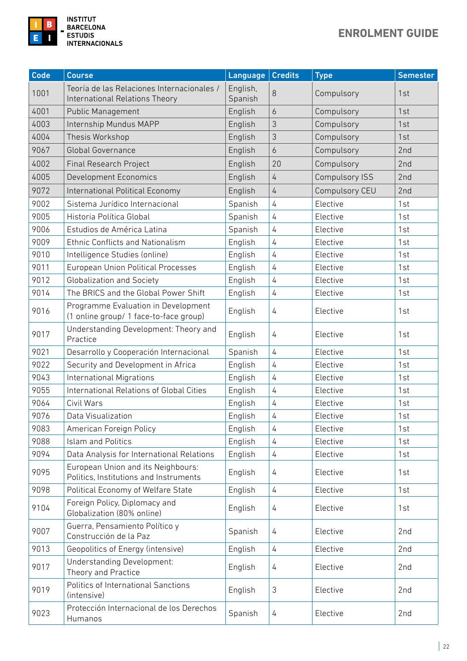

| <b>Code</b> | <b>Course</b>                                                                 | Language            | <b>Credits</b> | <b>Type</b>           | <b>Semester</b> |
|-------------|-------------------------------------------------------------------------------|---------------------|----------------|-----------------------|-----------------|
| 1001        | Teoría de las Relaciones Internacionales /<br>International Relations Theory  | English,<br>Spanish | 8              | Compulsory            | 1st             |
| 4001        | <b>Public Management</b>                                                      | English             | 6              | Compulsory            | 1st             |
| 4003        | Internship Mundus MAPP                                                        | English             | 3              | Compulsory            | 1st             |
| 4004        | Thesis Workshop                                                               | English             | 3              | Compulsory            | 1st             |
| 9067        | <b>Global Governance</b>                                                      | English             | 6              | Compulsory            | 2nd             |
| 4002        | <b>Final Research Project</b>                                                 | English             | 20             | Compulsory            | 2nd             |
| 4005        | Development Economics                                                         | English             | $\overline{4}$ | <b>Compulsory ISS</b> | 2nd             |
| 9072        | International Political Economy                                               | English             | $\overline{4}$ | Compulsory CEU        | 2nd             |
| 9002        | Sistema Jurídico Internacional                                                | Spanish             | 4              | Elective              | 1st             |
| 9005        | Historia Política Global                                                      | Spanish             | 4              | Elective              | 1st             |
| 9006        | Estudios de América Latina                                                    | Spanish             | 4              | Elective              | 1st             |
| 9009        | Ethnic Conflicts and Nationalism                                              | English             | $\overline{4}$ | Elective              | 1st             |
| 9010        | Intelligence Studies (online)                                                 | English             | 4              | Elective              | 1st             |
| 9011        | <b>European Union Political Processes</b>                                     | English             | 4              | Elective              | 1st             |
| 9012        | <b>Globalization and Society</b>                                              | English             | 4              | Elective              | 1st             |
| 9014        | The BRICS and the Global Power Shift                                          | English             | 4              | Elective              | 1st             |
| 9016        | Programme Evaluation in Development<br>(1 online group/ 1 face-to-face group) | English             | 4              | Elective              | 1st             |
| 9017        | Understanding Development: Theory and<br>Practice                             | English             | 4              | Elective              | 1st             |
| 9021        | Desarrollo y Cooperación Internacional                                        | Spanish             | 4              | Elective              | 1st             |
| 9022        | Security and Development in Africa                                            | English             | 4              | Elective              | 1st             |
| 9043        | <b>International Migrations</b>                                               | English             | 4              | Elective              | 1st             |
| 9055        | International Relations of Global Cities                                      | English             | $\sqrt{4}$     | Elective              | 1st             |
| 9064        | Civil Wars                                                                    | English             | $\overline{4}$ | Elective              | 1st             |
| 9076        | Data Visualization                                                            | English             | 4              | Elective              | 1st             |
| 9083        | American Foreign Policy                                                       | English             | 4              | Elective              | 1st             |
| 9088        | <b>Islam and Politics</b>                                                     | English             | 4              | Elective              | 1st             |
| 9094        | Data Analysis for International Relations                                     | English             | 4              | Elective              | 1st             |
| 9095        | European Union and its Neighbours:<br>Politics, Institutions and Instruments  | English             | 4              | Elective              | 1st             |
| 9098        | Political Economy of Welfare State                                            | English             | 4              | Elective              | 1st             |
| 9104        | Foreign Policy, Diplomacy and<br>Globalization (80% online)                   | English             | 4              | Elective              | 1st             |
| 9007        | Guerra, Pensamiento Político y<br>Construcción de la Paz                      | Spanish             | 4              | Elective              | 2nd             |
| 9013        | Geopolitics of Energy (intensive)                                             | English             | $\sqrt{4}$     | Elective              | 2nd             |
| 9017        | Understanding Development:<br>Theory and Practice                             | English             | 4              | Elective              | 2nd             |
| 9019        | Politics of International Sanctions<br>(intensive)                            | English             | 3              | Elective              | 2nd             |
| 9023        | Protección Internacional de los Derechos<br>Humanos                           | Spanish             | 4              | Elective              | 2nd             |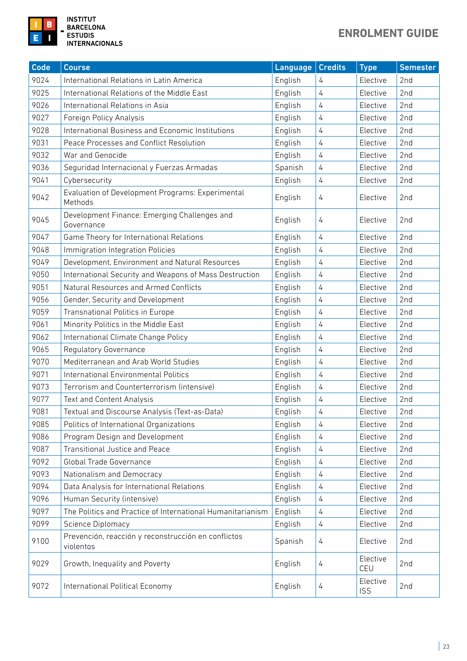

**INSTITUT<br>BARCELONA ESTUDIS INTERNACIONALS** 

| Code | <b>Course</b>                                                    | Language | <b>Credits</b> | <b>Type</b>            | <b>Semester</b> |
|------|------------------------------------------------------------------|----------|----------------|------------------------|-----------------|
| 9024 | International Relations in Latin America                         | English  | 4              | Elective               | 2nd             |
| 9025 | International Relations of the Middle East                       | English  | 4              | Elective               | 2nd             |
| 9026 | International Relations in Asia                                  | English  | 4              | Elective               | 2 <sub>nd</sub> |
| 9027 | Foreign Policy Analysis                                          | English  | 4              | Elective               | 2nd             |
| 9028 | International Business and Economic Institutions                 | English  | 4              | Elective               | 2nd             |
| 9031 | Peace Processes and Conflict Resolution                          | English  | 4              | Elective               | 2nd             |
| 9032 | War and Genocide                                                 | English  | 4              | Elective               | 2nd             |
| 9036 | Seguridad Internacional y Fuerzas Armadas                        | Spanish  | 4              | Elective               | 2nd             |
| 9041 | Cybersecurity                                                    | English  | 4              | Elective               | 2nd             |
| 9042 | Evaluation of Development Programs: Experimental<br>Methods      |          | 4              | Elective               | 2nd             |
| 9045 | Development Finance: Emerging Challenges and<br>Governance       |          | 4              | Elective               | 2nd             |
| 9047 | Game Theory for International Relations                          |          | 4              | Elective               | 2nd             |
| 9048 | Immigration Integration Policies                                 | English  | 4              | Elective               | 2nd             |
| 9049 | Development, Environment and Natural Resources                   | English  | 4              | Elective               | 2nd             |
| 9050 | International Security and Weapons of Mass Destruction           | English  | 4              | Elective               | 2nd             |
| 9051 | Natural Resources and Armed Conflicts                            | English  | 4              | Elective               | 2nd             |
| 9056 | Gender, Security and Development                                 | English  | 4              | Elective               | 2nd             |
| 9059 | Transnational Politics in Europe                                 | English  | $\overline{4}$ | Elective               | 2nd             |
| 9061 | Minority Politics in the Middle East                             | English  | $\overline{4}$ | Elective               | 2nd             |
| 9062 | International Climate Change Policy                              | English  | 4              | Elective               | 2nd             |
| 9065 | Regulatory Governance                                            | English  | 4              | Elective               | 2nd             |
| 9070 | Mediterranean and Arab World Studies                             | English  | 4              | Elective               | 2nd             |
| 9071 | International Environmental Politics                             | English  | 4              | Elective               | 2nd             |
| 9073 | Terrorism and Counterterrorism (intensive)                       | English  | 4              | Elective               | 2nd             |
| 9077 | Text and Content Analysis                                        | English  | 4              | Elective               | 2nd             |
| 9081 | Textual and Discourse Analysis (Text-as-Data)                    | English  | $\overline{4}$ | Elective               | 2nd             |
| 9085 | Politics of International Organizations                          | English  | 4              | Elective               | 2nd             |
| 9086 | Program Design and Development                                   | English  | 4              | Elective               | 2nd             |
| 9087 | <b>Transitional Justice and Peace</b>                            | English  | 4              | Elective               | 2nd             |
| 9092 | Global Trade Governance                                          | English  | 4              | Elective               | 2nd             |
| 9093 | Nationalism and Democracy                                        | English  | 4              | Elective               | 2nd             |
| 9094 | Data Analysis for International Relations                        | English  | 4              | Elective               | 2nd             |
| 9096 | Human Security (intensive)                                       | English  | 4              | Elective               | 2nd             |
| 9097 | The Politics and Practice of International Humanitarianism       | English  | 4              | Elective               | 2nd             |
| 9099 | Science Diplomacy                                                | English  | 4              | Elective               | 2nd             |
| 9100 | Prevención, reacción y reconstrucción en conflictos<br>violentos | Spanish  | 4              | Elective               | 2nd             |
| 9029 | Growth, Inequality and Poverty                                   | English  | 4              | Elective<br>CEU        | 2nd             |
| 9072 | International Political Economy                                  | English  | 4              | Elective<br><b>ISS</b> | 2nd             |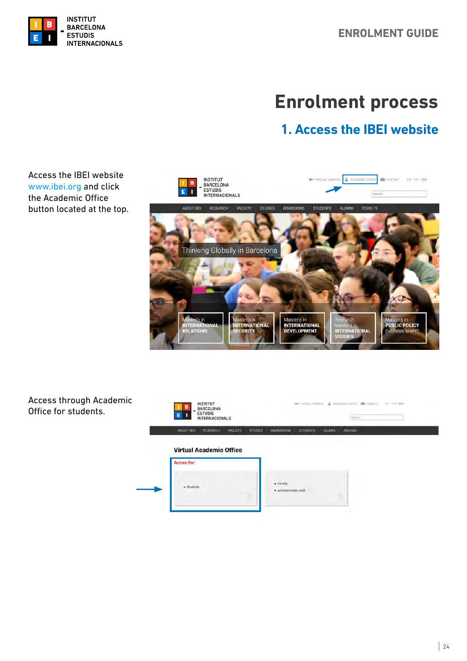<span id="page-23-0"></span>

# **Enrolment process**

## **1. Access the IBEI website**

Access the IBEI website [www.ibei.org](http://www.ibei.org) and click the Academic Office button located at the top.



Access through Academic Office for students.

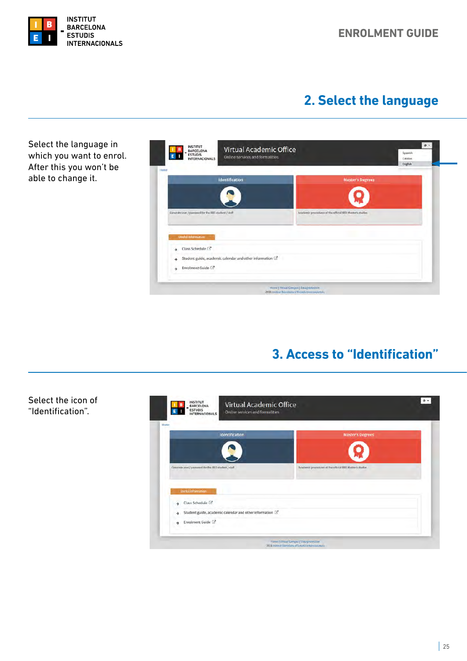<span id="page-24-0"></span>

Select the icon of "Identification".

## **2. Select the language**

Select the language in **E B**<br>- BARCELONA<br>E BITUDIS<br>- INTERNACIONALS  $\alpha$ . Virtual Academic Office Spanish<br>Catalan<br>English which you want to enrol. Online services and formalities After this you won't be able to change it. **Identification**  $\epsilon$ Academic procedures of the official IBEI Master's studie Generate user / password for the IBEI student / staff Class Schedule<sup>[2]</sup>  $\ddot{\phantom{1}}$ Student guide, academic calendar and other information  $\mathbb{Z}^{\!\star}$ i. Enrolment Guide [2]  $\rightarrow$ -<br>Home | Virtual Campus | Data profection<br>2018 Imilitot Barcelona d'Estudis Internacio

## **3. Access to "Identification"**

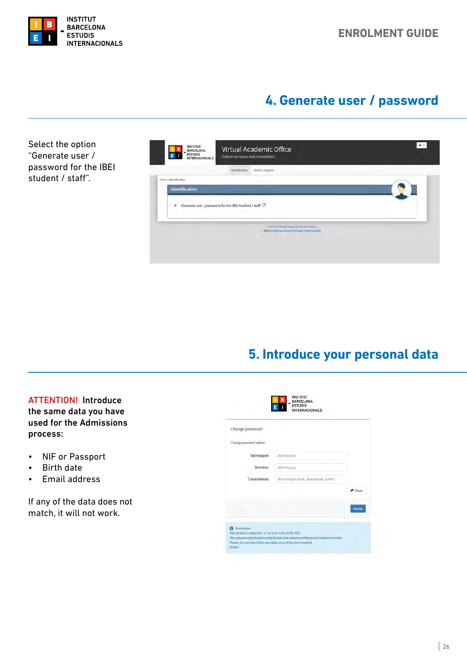<span id="page-25-0"></span>

## **4. Generate user / password**

Select the option "Generate user / password for the IBEI student / staff".

| <b>BARCELONA</b><br><b>ESTUDIS</b><br><b>INTERNACIONALS</b>   | Virtual Academic Office<br><b>Online services and formalities</b>                          |  |
|---------------------------------------------------------------|--------------------------------------------------------------------------------------------|--|
| Identification                                                | Master's Degrees                                                                           |  |
| Home / Identification                                         |                                                                                            |  |
| Identification                                                |                                                                                            |  |
| Generate user / password for the IBEI student / staff [3]<br> |                                                                                            |  |
|                                                               | Home   Virtual Campus   Data protection<br>2018 Institut Barcelona d'Estado internacionale |  |
|                                                               |                                                                                            |  |
|                                                               |                                                                                            |  |

## **5. Introduce your personal data**

ATTENTION! Introduce the same data you have used for the Admissions process:

- NIF or Passport
- Birth date
- Email address

If any of the data does not match, it will not work.

| Change password        |                                          |                |
|------------------------|------------------------------------------|----------------|
| Change password option |                                          |                |
| 'Nif/Passport          | Nif/Passport                             |                |
| Birthdate              | dd/mm/yyyy                               |                |
| 'Email address         | (for example: email_allas@email_server). |                |
|                        |                                          | <b>#</b> Clean |
|                        |                                          | Accept         |
|                        |                                          |                |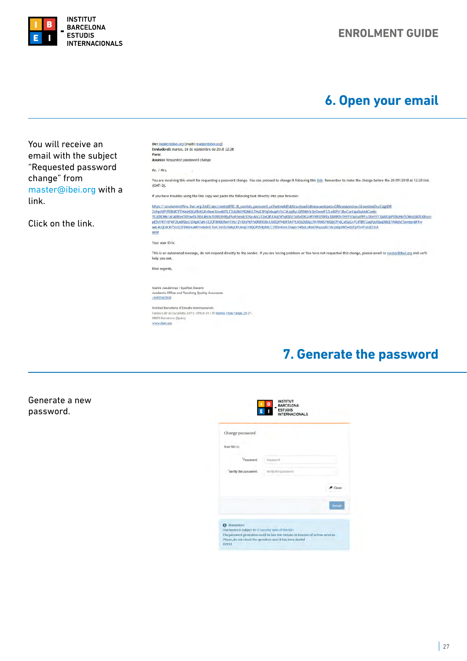<span id="page-26-0"></span>

#### **ENROLMENT GUIDE**

## **6. Open your email**



## **7. Generate the password**

Generate a new password.

| Change password     |                     |
|---------------------|---------------------|
| Your NIU is:        |                     |
| Password            | <b>Password</b>     |
| Verify the password | Verify the password |
|                     | Clean               |
|                     | Accept              |
|                     |                     |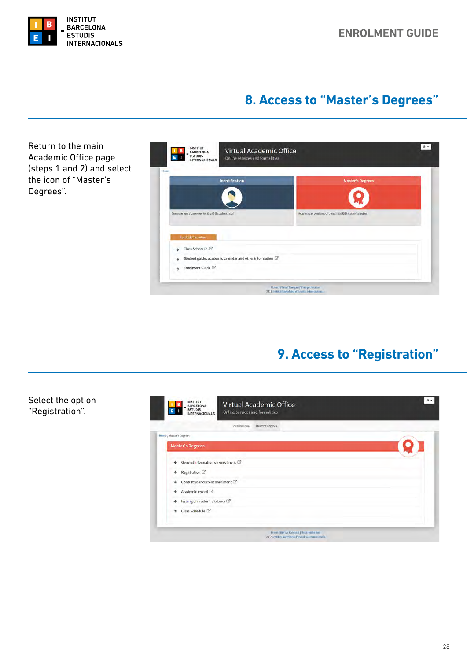## **8. Access to "Master's Degrees"**

<span id="page-27-0"></span>Return to the main  $\bullet$ . **1 B**<br>**E B** - BARCELONA<br>**E** B - INTERNACIONALS Virtual Academic Office Academic Office page Online services and formalities (steps 1 and 2) and select the icon of "Master's dentification Degrees".vord for the IBEI : Academic procedures of the official IBET Ma Class Schedule  $\mathbb{Z}^n$ > Student guide, academic calendar and other information  $\rightarrow$  Enrolment Guide -<br>Home | Virtual Campus | Oata provestor<br>2018 Institut Daronota o Estudis Internacio

## **9. Access to "Registration"**

#### Select the option "Registration".

| Master's Degrees<br><b>identification</b> |  |
|-------------------------------------------|--|
| Home / Master's Degrees                   |  |
| <b>Master's Degrees</b>                   |  |
| General information on enrolment<br>→     |  |
| Registration <sup>2</sup><br>→            |  |
| Consult your current enrolment [3]<br>÷   |  |
| Academic record [3]<br>→                  |  |
| Issuing of master's diploma<br>→          |  |
| Class Schedule <sup>[2]</sup>             |  |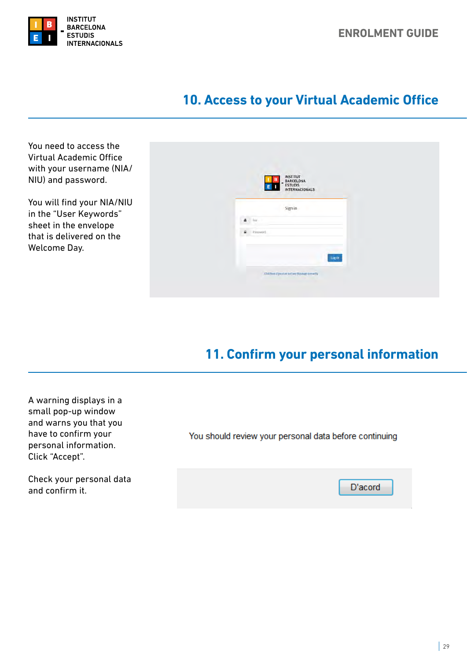<span id="page-28-0"></span>

## **10. Access to your Virtual Academic Office**

You need to access the Virtual Academic Office with your username (NIA/ NIU) and password.

You will find your NIA/NIU in the "User Keywords" sheet in the envelope that is delivered on the Welcome Day.

|                                | <b>INSTITUT<br/>BARCELONA<br/>ESTUDIS<br/>INTERNACIONALS</b><br>в<br>$\mathbf{E}$ |  |
|--------------------------------|-----------------------------------------------------------------------------------|--|
|                                | Sign in                                                                           |  |
| Nilly<br>A                     |                                                                                   |  |
| Password<br>$\hat{\mathbf{a}}$ |                                                                                   |  |
|                                | Login                                                                             |  |
|                                | Click here if you can not see this page connecty                                  |  |

## **11. Confirm your personal information**

A warning displays in a small pop-up window and warns you that you have to confirm your personal information. Click "Accept".

Check your personal data and confirm it.

| You should review your personal data before continuing |  |  |
|--------------------------------------------------------|--|--|
|--------------------------------------------------------|--|--|

D'acord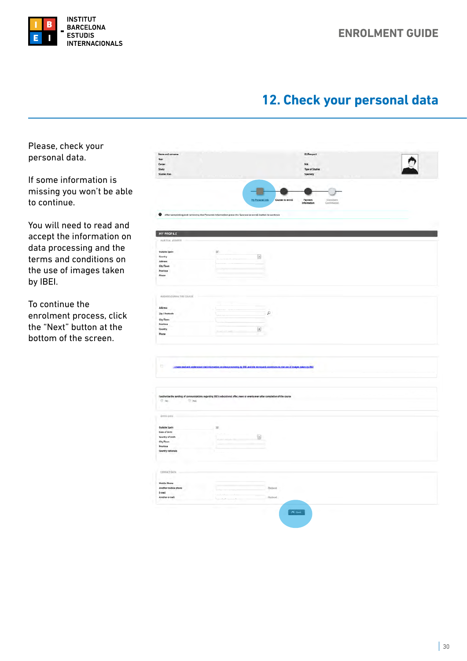<span id="page-29-0"></span>

## **12. Check your personal data**

Please, check your personal data.

If some information is missing you won't be able to continue.

You will need to read and accept the information on data processing and the terms and conditions on the use of images taken by IBEI.

To continue the enrolment process, click the "Next" button at the bottom of the screen.

| Cercer                        |                                                                                                                                         | ID/Passport<br>NIA.                                      |  |
|-------------------------------|-----------------------------------------------------------------------------------------------------------------------------------------|----------------------------------------------------------|--|
| Study                         |                                                                                                                                         | Type of Studies                                          |  |
| Studies Plan                  |                                                                                                                                         | Specialty                                                |  |
|                               |                                                                                                                                         |                                                          |  |
|                               |                                                                                                                                         |                                                          |  |
|                               | <b>My Personal Info</b>                                                                                                                 |                                                          |  |
|                               |                                                                                                                                         | Courses to enroll<br>Payment<br>Information<br>Enrolment |  |
|                               |                                                                                                                                         |                                                          |  |
|                               | After completing and reviewing the Personal Information press the Courses to enroll button to continue                                  |                                                          |  |
|                               |                                                                                                                                         |                                                          |  |
| MY PROFILE                    |                                                                                                                                         |                                                          |  |
| <b>BARTINI ADDRESS</b>        |                                                                                                                                         |                                                          |  |
|                               |                                                                                                                                         |                                                          |  |
| Outside Spain                 | iz.                                                                                                                                     |                                                          |  |
| Country<br>Address            | $\overline{\phantom{a}}$                                                                                                                |                                                          |  |
| City/Town                     |                                                                                                                                         |                                                          |  |
| Province                      |                                                                                                                                         |                                                          |  |
| Phone                         |                                                                                                                                         |                                                          |  |
|                               |                                                                                                                                         |                                                          |  |
|                               |                                                                                                                                         |                                                          |  |
| ADDIESS OUTING THE COURSE     |                                                                                                                                         |                                                          |  |
| Address                       |                                                                                                                                         |                                                          |  |
|                               |                                                                                                                                         |                                                          |  |
| Zip / Postcode                | $\varphi$                                                                                                                               |                                                          |  |
| City/Town<br>Province         |                                                                                                                                         |                                                          |  |
|                               |                                                                                                                                         |                                                          |  |
|                               |                                                                                                                                         |                                                          |  |
| Country<br>Phone              | $\overline{\Xi}$<br><b>Service Control</b>                                                                                              |                                                          |  |
|                               |                                                                                                                                         |                                                          |  |
|                               |                                                                                                                                         |                                                          |  |
| g.                            | [1] have read and understood the information on data processing by IBEL and the terms and conditions on the use of images taken by IBEL |                                                          |  |
|                               |                                                                                                                                         |                                                          |  |
|                               |                                                                                                                                         |                                                          |  |
|                               |                                                                                                                                         |                                                          |  |
| Not<br><b>O</b> Ves           | I authorize the sending of communications regarding IBEI's educational offer, news or events even after completion of the course        |                                                          |  |
|                               |                                                                                                                                         |                                                          |  |
|                               |                                                                                                                                         |                                                          |  |
| immi oxov                     |                                                                                                                                         |                                                          |  |
| Outside Spain                 | æ,                                                                                                                                      |                                                          |  |
| Date of birth                 |                                                                                                                                         |                                                          |  |
| Country of birth              | $\Xi$                                                                                                                                   |                                                          |  |
| City/Town                     |                                                                                                                                         |                                                          |  |
| Province<br>Country nationals |                                                                                                                                         |                                                          |  |
|                               |                                                                                                                                         |                                                          |  |
|                               |                                                                                                                                         |                                                          |  |
| cointicl pass.                |                                                                                                                                         |                                                          |  |
|                               |                                                                                                                                         |                                                          |  |
| Mobile Phone                  |                                                                                                                                         |                                                          |  |
| Another mobile phone          | Optional                                                                                                                                |                                                          |  |
| E-mail<br>Another e-mail      | Optimal.                                                                                                                                |                                                          |  |
|                               |                                                                                                                                         |                                                          |  |
|                               |                                                                                                                                         | $\sqrt{2}$ Hert                                          |  |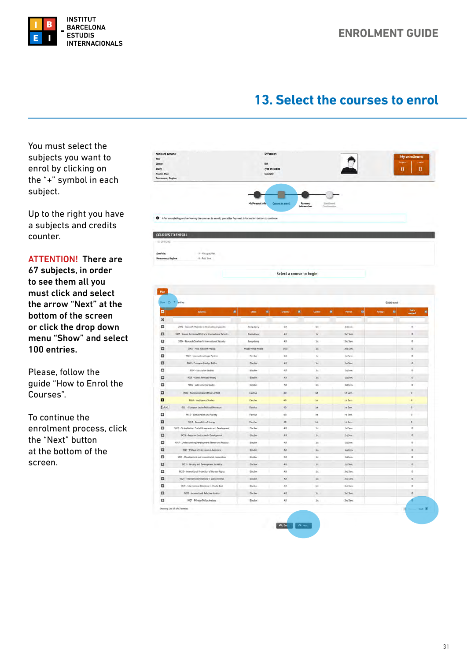<span id="page-30-0"></span>

## **13. Select the courses to enrol**

You must select the subjects you want to enrol by clicking on the "+" symbol in each subject.

Up to the right you have a subjects and credits counter.

ATTENTION! There are 67 subjects, in order to see them all you must click and select the arrow "Next" at the bottom of the screen or click the drop down menu "Show" and select 100 entries.

Please, follow the guide "How to Enrol the Courses".

To continue the enrolment process, click the "Next" button at the bottom of the screen.

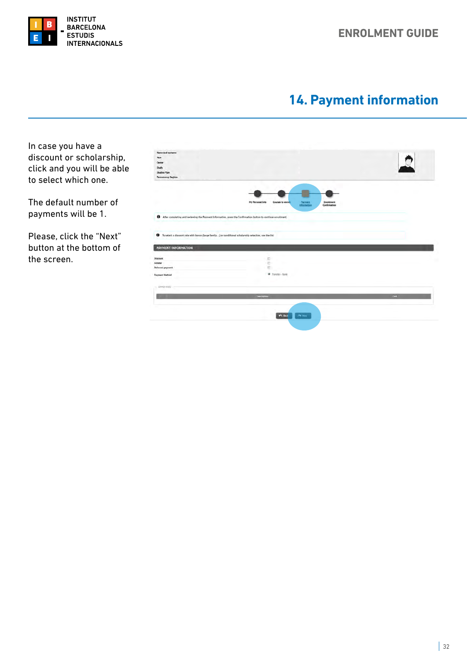

<span id="page-31-0"></span>

## **14. Payment information**

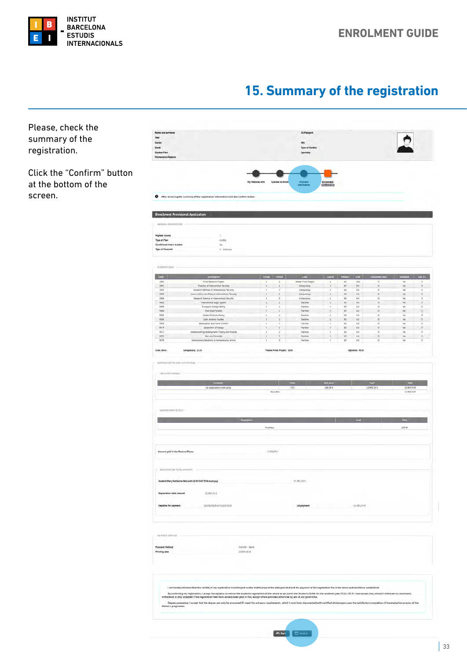<span id="page-32-0"></span>

screen.

## **15. Summary of the registration**

Please, check the Name and surname<br>Year<br>Center<br>Study<br>Studies Plan summary of the **NIA** Type of S registration. Click the "Confirm" button at the bottom of the After reviewing the summary of the registration information click the Confirm buttor **Enrollment Provisional Application**  $\begin{aligned} 1 \\ \text{credits} \\ \text{Ne} \\ 0 \quad \text{Orderary} \end{aligned}$ Highest course<br>Type of Plan<br>Conditional intern student<br>Type of Discount Code rue Module Cred  $\begin{tabular}{|c|c|} \hline & \multicolumn{3}{|c|}{\textbf{Final Research Project}} \\ \hline \multicolumn{3}{|c|}{\textbf{Final Research Project}} \\ \hline \multicolumn{3}{|c|}{\textbf{Thread between the International Society}} \\ \hline \multicolumn{3}{|c|}{\textbf{Mean of the International Society}} \\ \hline \multicolumn{3}{|c|}{\textbf{Mean of the International Society}} \\ \hline \multicolumn{3}{|c|}{\textbf{Mean of the International Society}} \\ \hline \multicolumn{3}{|c|}{\textbf{Frequency of the } \textbf{String} \\ \hline \multicolumn{3}{|c|}{\textbf{Frequency of the } \textbf{String} \\ \hline$ Computery Compulsor<br>Elective<br>Flective<br>Flective<br>Elective<br>Flective<br>Flective Pumpean Foreign Policy<br>Pumpean Foreign Policy<br>Text Aslan Studies<br>Global Policical Philosopher<br>Listin Studies and Pineli Certifical<br>Association of Fouries Nationalism and Fitinle Conflict<br>Geopolitics of Franty<br>Ading Development: Theory and Pract<br>War and Genecide Fieribe<br>Elective<br>Fieribe<br>Fieribe  $\frac{1}{1}$   $\frac{300}{100}$  4.0  $m \ge 16$ Cred. Enro Compulsory: 22.0 Master Final Project: 10.0 Optional: 40.0 **THE AMERICA** . Concepts the concepts and the contract the contract of the contract of the contract of the contract of the contract of the contract of the contract of the contract of the contract of the contract of the contract of the 726 180,334 12483,764 12.985,76 €<br>17.985,76 € **COL** Total Contractor .<br>Total fee  $\frac{1}{2006}$ ent paid in the Reserve Places  $t$ mano $\epsilon$ .<br>Tinia Tinitas Jasanisan 11.985,76 E ary Katherine Bell with ID 493407934 must pay **Insight ation total amount** 12083264  $11.983,764$ 26/09/2018 to 02/10/1018 Let payment **Ine for payment** :<br>Transfer - Bank<br>19/09/2018 Payment Metho<br>Printing date I am hareby informed that the validity of my registration is contingent on the truthfulness of the data provided and the payment of the registration fee in the terms and conditions established. .<br>By confurning my registration, I accept the syllabus as well as the academic regulations of the centre as set out in the Student's Guide for the academic year 2018-2019. I also accept that, should I<br>hotwoul is only accep Degree processing: I accept that the degree can only be processed if I meet the entrance requirement. nts, which I must have docu .<br>Naskim frankr O Bak | El God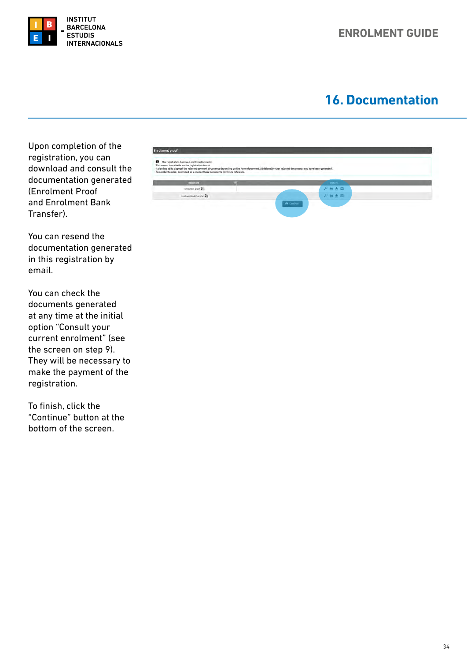<span id="page-33-0"></span>

## **16. Documentation**

Upon completion of the registration, you can download and consult the documentation generated (Enrolment Proof and Enrolment Bank Transfer).

You can resend the documentation generated in this registration by email.

You can check the documents generated at any time at the initial option "Consult your current enrolment" (see the screen on step 9). They will be necessary to make the payment of the registration.

To finish, click the "Continue" button at the bottom of the screen.

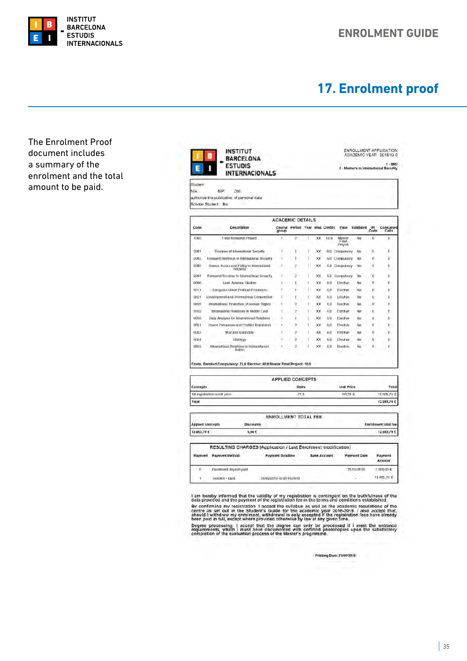<span id="page-34-0"></span>

## **17. Enrolment proof**

The Enrolment Proof document includes a summary of the enrolment and the total amount to be paid.

|              | <b>INTERNACIONALS</b>                                                      |                         |                                 |    |           |      |                            |           |             |                   |
|--------------|----------------------------------------------------------------------------|-------------------------|---------------------------------|----|-----------|------|----------------------------|-----------|-------------|-------------------|
| Student:     |                                                                            |                         |                                 |    |           |      |                            |           |             |                   |
| NIA:         | NIP:<br>DNI:<br>authorize the publication of personal data                 |                         |                                 |    |           |      |                            |           |             |                   |
|              | Scholar Student. No                                                        |                         |                                 |    |           |      |                            |           |             |                   |
|              |                                                                            |                         |                                 |    |           |      |                            |           |             |                   |
|              |                                                                            | <b>ACADEMIC DETAILS</b> |                                 |    |           |      |                            |           |             |                   |
| Code         | <b>Description</b>                                                         | group                   | Course Period Year Mod. Credits |    |           |      | Type                       | Validated | PI.<br>Code | Consumed<br>Calls |
| 1005         | <b>Final Research Project</b>                                              | 1                       | y.                              | ĩ  | XX        | 10.0 | Master<br>Finat<br>Project | No        | Ü           | Ü.                |
| 2001         | Theories of International Security                                         | 1                       | ١                               | ٢  | <b>XX</b> |      | 8.0 Compulsory             | No.       | O           | 0                 |
| 5002         | Nesearch Methods in International Security                                 | Ŧ                       | Ŧ                               | ×  | XX        |      | 6.0 Compulsory             | No        | α           | D.                |
| 2003         | Issues, Actors and Policy in International<br>Security                     |                         | $\overline{2}$                  | ī. | X X       |      | 4.0 Compulsory             | No        | -TI         | D.                |
| 2004         | Research Smelnur in International Security                                 | ٠                       | 2                               |    | XX.       |      | 4.0 Compulsory             | No        | $\mathbf 0$ | 0.                |
| 9009         | Latin America Studies                                                      |                         | ۱                               |    | XХ        | 4:0  | Elective                   | No        | n           | $\alpha$          |
| 9011         | European Union Political Processes                                         |                         | ٠                               | ١  | <b>XX</b> | 4.0  | Elective                   | No        | $\alpha$    | D                 |
| <b>U021</b>  | Development and international Cooperation                                  |                         |                                 | ı  | XX        | 4.0. | Licutive                   | No        | U           | o.                |
| 18123        | International Protection of Human Rights                                   |                         | 2                               | ۲  | xх        | 3.0  | <b>Flective</b>            | No        | n           | Ü                 |
| <b>IKI25</b> | International Nelations in Middle Last                                     |                         | 2                               | ī  | XХ        | 4.0  | <b>Tieclive</b>            | No        | $\sigma$    | n.                |
| 0030         | Dala Analysis for International Relations                                  |                         | ł                               | š. | XХ        | 1.0  | Elective                   | No        | Ü           | 0 -               |
| 9031         | Paace Processes and Conflict Resolution                                    |                         | 9                               | ١  | хx        | 4:0  | Findlive                   | Nn        | n           | n.                |
| 0032         | War and Genocide                                                           |                         | 2                               | ī  | XХ        | 4.0  | Elective                   | No        | α           | o                 |
| 0034         | Strategy                                                                   |                         | $\overline{c}$                  | ١  | XХ        | 4.0  | Elective                   | No        | й           | ū.                |
| <b>IKI35</b> | International Relations in Humanitarian<br>Action                          |                         | 2                               | ۳. | XX-       | 4.0  | Etaclive                   | No        | $\alpha$    | ō.                |
|              | Creds. Enrolled Compulsory: 22.0 Elective: 40.0 Master Final Project: 10.0 |                         |                                 |    |           |      |                            |           |             |                   |
|              |                                                                            |                         |                                 |    |           |      |                            |           |             |                   |
|              |                                                                            | <b>APPLIED CONCEPTS</b> |                                 |    |           |      |                            |           |             |                   |
| Concepts     |                                                                            |                         | Units                           |    |           |      | <b>Unit Price</b>          |           |             | Total             |
|              | 1st registration credit price.                                             |                         | 72.0                            |    |           |      | <b>3 21 031</b>            |           |             | 12.983.76€        |

|                         |                         | <b>ENROLLMENT TOTAL FEE</b>                                    |                     |              |                      |
|-------------------------|-------------------------|----------------------------------------------------------------|---------------------|--------------|----------------------|
| <b>Applied concepts</b> |                         | Discounts                                                      |                     |              | Enrollment total fee |
| 12,983,70 €             |                         | 0.00C                                                          |                     |              | 12,983,70€           |
|                         |                         | RESULTING CHARGES (Application / Last Enrollment modification) |                     |              |                      |
| Payment                 | <b>Payment Method</b>   | <b>Payment Deadline</b>                                        | <b>Bank Account</b> | Payment Date | Payment<br>Ampunt    |
| $\alpha$                | Enrollment deposit pald |                                                                |                     | 23/05/2018   | 1,000,00€            |
|                         | Transfer - Bank         | 26/09/2016 to \$2/10/2018                                      |                     |              | 11,983.70 €          |

I am hereby informed that the validity of my registration is contingent on the truthfulness of the data provided and the payment of the registration fee in the terms and conditions established.<br>By confirming my registrati

Printing Date: 21/00/2018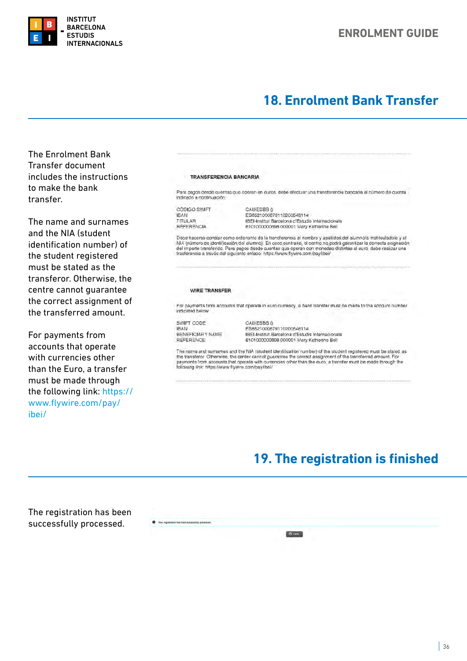<span id="page-35-0"></span>

## **18. Enrolment Bank Transfer**

The Enrolment Bank Transfer document includes the instructions to make the bank transfer.

The name and surnames and the NIA (student identification number) of the student registered must be stated as the transferor. Otherwise, the centre cannot guarantee the correct assignment of the transferred amount.

For payments from accounts that operate with currencies other than the Euro, a transfer must be made through the following link: [https://](https://www.flywire.com/pay/ibei/) [www.flywire.com/pay/](https://www.flywire.com/pay/ibei/) [ibei/](https://www.flywire.com/pay/ibei/)

#### **TRANSFERENCIA BANCARIA**

Para pagos desde cuentas que operan en euros, debe efectuar una transferencia bancaria al número de cuenta indicado a continuación:

CÓDIGO SWIFT **IRAN** TITULAR REFERENCIA

CAIXESBB () ES6621000679110200548114 IBEI-Institut Barcelona d'Estudis Internacionals 8101000000698 000001 Mary Katherine Bell

Debe hacerse constar como ordenante de la transferencia el nombre y apellidos del alumno/a matriculado/a y el NIA (número de identificación del alumno). En caso contrano, el centro no podrá garantizar la correcta asignación<br>del importe transferido. Para pagos desde cuentas que operan con monedas distintas al euro, debe realizar un

#### **WIRE TRANSFER**

For payments from accounts that operate in euro currency, a bank transferimust be made to the account number<br>indicated below:

SWIFT CODE **IBAN** BENEFICIARY NAME REFERENCE

CAIXESBB 0 ES6521000679110200548114 IBEI-Institut Barcelona d'Estudis Internacionals 8101000000698 000001 Mary Katherine Bell

The name and sumames and the NIA (student identification number) of the student registered must be stated as the transferor Otherwise, the center cannot guarantee the correct assignment of the transferred amount. For payments from accounts that operate with currencies other than the euro, a transfer must be made through the following link: https://www.flywire.com/pay/ibei/

## **19. The registration is finished**

The registration has been successfully processed.

O Your registration has been successfully p  $[0.1mm]$